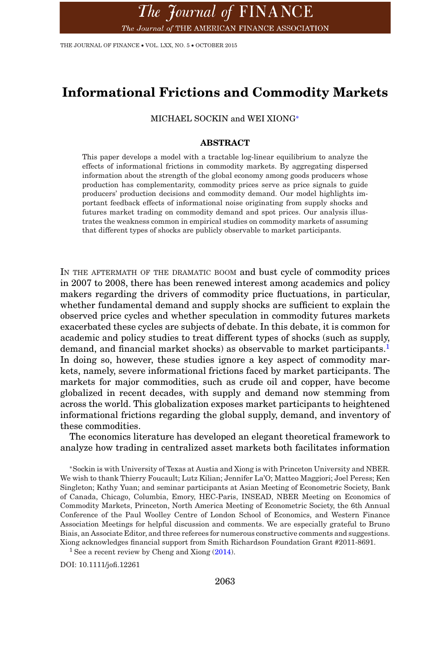THE JOURNAL OF FINANCE • VOL. LXX, NO. 5 • OCTOBER 2015

# **Informational Frictions and Commodity Markets**

MICHAEL SOCKIN and WEI XIONG[∗](#page-0-0)

## **ABSTRACT**

This paper develops a model with a tractable log-linear equilibrium to analyze the effects of informational frictions in commodity markets. By aggregating dispersed information about the strength of the global economy among goods producers whose production has complementarity, commodity prices serve as price signals to guide producers' production decisions and commodity demand. Our model highlights important feedback effects of informational noise originating from supply shocks and futures market trading on commodity demand and spot prices. Our analysis illustrates the weakness common in empirical studies on commodity markets of assuming that different types of shocks are publicly observable to market participants.

IN THE AFTERMATH OF THE DRAMATIC BOOM and bust cycle of commodity prices in 2007 to 2008, there has been renewed interest among academics and policy makers regarding the drivers of commodity price fluctuations, in particular, whether fundamental demand and supply shocks are sufficient to explain the observed price cycles and whether speculation in commodity futures markets exacerbated these cycles are subjects of debate. In this debate, it is common for academic and policy studies to treat different types of shocks (such as supply, demand, and financial market shocks) as observable to market participants.<sup>1</sup> In doing so, however, these studies ignore a key aspect of commodity markets, namely, severe informational frictions faced by market participants. The markets for major commodities, such as crude oil and copper, have become globalized in recent decades, with supply and demand now stemming from across the world. This globalization exposes market participants to heightened informational frictions regarding the global supply, demand, and inventory of these commodities.

The economics literature has developed an elegant theoretical framework to analyze how trading in centralized asset markets both facilitates information

<span id="page-0-0"></span><sup>∗</sup>Sockin is with University of Texas at Austia and Xiong is with Princeton University and NBER. We wish to thank Thierry Foucault; Lutz Kilian; Jennifer La'O; Matteo Maggiori; Joel Peress; Ken Singleton; Kathy Yuan; and seminar participants at Asian Meeting of Econometric Society, Bank of Canada, Chicago, Columbia, Emory, HEC-Paris, INSEAD, NBER Meeting on Economics of Commodity Markets, Princeton, North America Meeting of Econometric Society, the 6th Annual Conference of the Paul Woolley Centre of London School of Economics, and Western Finance Association Meetings for helpful discussion and comments. We are especially grateful to Bruno Biais, an Associate Editor, and three referees for numerous constructive comments and suggestions. Xiong acknowledges financial support from Smith Richardson Foundation Grant #2011-8691.

<span id="page-0-1"></span><sup>1</sup> See a recent review by Cheng and Xiong  $(2014)$ .

DOI: 10.1111/jofi.12261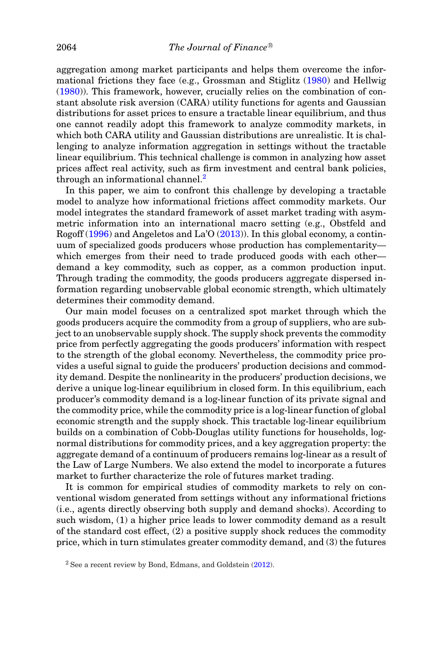aggregation among market participants and helps them overcome the informational frictions they face (e.g., Grossman and Stiglitz [\(1980\)](#page-34-1) and Hellwig [\(1980\)](#page-34-2)). This framework, however, crucially relies on the combination of constant absolute risk aversion (CARA) utility functions for agents and Gaussian distributions for asset prices to ensure a tractable linear equilibrium, and thus one cannot readily adopt this framework to analyze commodity markets, in which both CARA utility and Gaussian distributions are unrealistic. It is challenging to analyze information aggregation in settings without the tractable linear equilibrium. This technical challenge is common in analyzing how asset prices affect real activity, such as firm investment and central bank policies, through an informational channel.<sup>[2](#page-1-0)</sup>

In this paper, we aim to confront this challenge by developing a tractable model to analyze how informational frictions affect commodity markets. Our model integrates the standard framework of asset market trading with asymmetric information into an international macro setting (e.g., Obstfeld and Rogoff [\(1996\)](#page-34-3) and Angeletos and La'O [\(2013\)](#page-33-0)). In this global economy, a continuum of specialized goods producers whose production has complementarity which emerges from their need to trade produced goods with each other demand a key commodity, such as copper, as a common production input. Through trading the commodity, the goods producers aggregate dispersed information regarding unobservable global economic strength, which ultimately determines their commodity demand.

Our main model focuses on a centralized spot market through which the goods producers acquire the commodity from a group of suppliers, who are subject to an unobservable supply shock. The supply shock prevents the commodity price from perfectly aggregating the goods producers' information with respect to the strength of the global economy. Nevertheless, the commodity price provides a useful signal to guide the producers' production decisions and commodity demand. Despite the nonlinearity in the producers' production decisions, we derive a unique log-linear equilibrium in closed form. In this equilibrium, each producer's commodity demand is a log-linear function of its private signal and the commodity price, while the commodity price is a log-linear function of global economic strength and the supply shock. This tractable log-linear equilibrium builds on a combination of Cobb-Douglas utility functions for households, lognormal distributions for commodity prices, and a key aggregation property: the aggregate demand of a continuum of producers remains log-linear as a result of the Law of Large Numbers. We also extend the model to incorporate a futures market to further characterize the role of futures market trading.

It is common for empirical studies of commodity markets to rely on conventional wisdom generated from settings without any informational frictions (i.e., agents directly observing both supply and demand shocks). According to such wisdom, (1) a higher price leads to lower commodity demand as a result of the standard cost effect, (2) a positive supply shock reduces the commodity price, which in turn stimulates greater commodity demand, and (3) the futures

<span id="page-1-0"></span> $2$  See a recent review by Bond, Edmans, and Goldstein [\(2012\)](#page-33-1).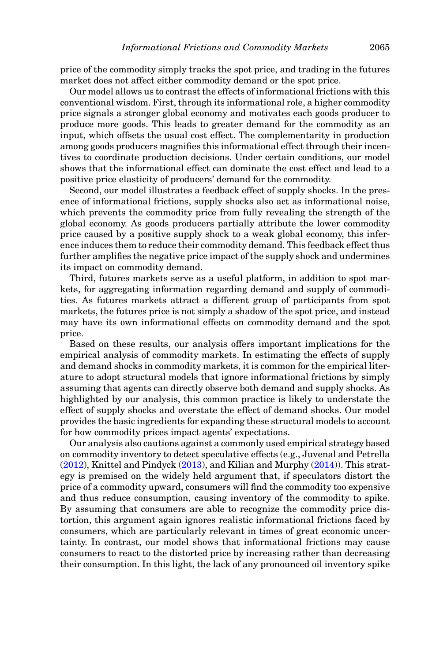price of the commodity simply tracks the spot price, and trading in the futures market does not affect either commodity demand or the spot price.

Our model allows us to contrast the effects of informational frictions with this conventional wisdom. First, through its informational role, a higher commodity price signals a stronger global economy and motivates each goods producer to produce more goods. This leads to greater demand for the commodity as an input, which offsets the usual cost effect. The complementarity in production among goods producers magnifies this informational effect through their incentives to coordinate production decisions. Under certain conditions, our model shows that the informational effect can dominate the cost effect and lead to a positive price elasticity of producers' demand for the commodity.

Second, our model illustrates a feedback effect of supply shocks. In the presence of informational frictions, supply shocks also act as informational noise, which prevents the commodity price from fully revealing the strength of the global economy. As goods producers partially attribute the lower commodity price caused by a positive supply shock to a weak global economy, this inference induces them to reduce their commodity demand. This feedback effect thus further amplifies the negative price impact of the supply shock and undermines its impact on commodity demand.

Third, futures markets serve as a useful platform, in addition to spot markets, for aggregating information regarding demand and supply of commodities. As futures markets attract a different group of participants from spot markets, the futures price is not simply a shadow of the spot price, and instead may have its own informational effects on commodity demand and the spot price.

Based on these results, our analysis offers important implications for the empirical analysis of commodity markets. In estimating the effects of supply and demand shocks in commodity markets, it is common for the empirical literature to adopt structural models that ignore informational frictions by simply assuming that agents can directly observe both demand and supply shocks. As highlighted by our analysis, this common practice is likely to understate the effect of supply shocks and overstate the effect of demand shocks. Our model provides the basic ingredients for expanding these structural models to account for how commodity prices impact agents' expectations.

Our analysis also cautions against a commonly used empirical strategy based on commodity inventory to detect speculative effects (e.g., Juvenal and Petrella [\(2012\)](#page-34-4), Knittel and Pindyck [\(2013\)](#page-34-5), and Kilian and Murphy [\(2014\)](#page-34-6)). This strategy is premised on the widely held argument that, if speculators distort the price of a commodity upward, consumers will find the commodity too expensive and thus reduce consumption, causing inventory of the commodity to spike. By assuming that consumers are able to recognize the commodity price distortion, this argument again ignores realistic informational frictions faced by consumers, which are particularly relevant in times of great economic uncertainty. In contrast, our model shows that informational frictions may cause consumers to react to the distorted price by increasing rather than decreasing their consumption. In this light, the lack of any pronounced oil inventory spike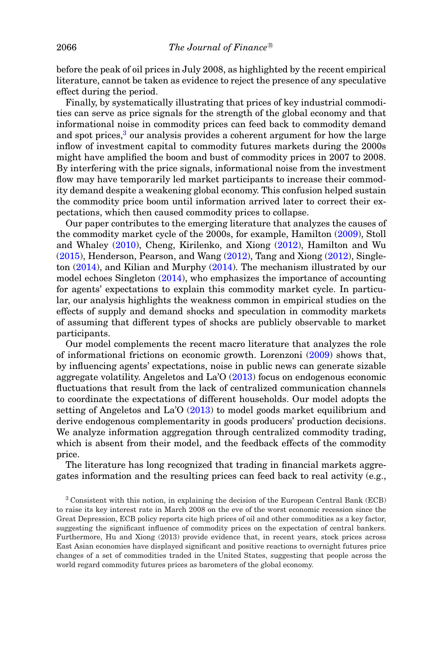before the peak of oil prices in July 2008, as highlighted by the recent empirical literature, cannot be taken as evidence to reject the presence of any speculative effect during the period.

Finally, by systematically illustrating that prices of key industrial commodities can serve as price signals for the strength of the global economy and that informational noise in commodity prices can feed back to commodity demand and spot prices, $3$  our analysis provides a coherent argument for how the large inflow of investment capital to commodity futures markets during the 2000s might have amplified the boom and bust of commodity prices in 2007 to 2008. By interfering with the price signals, informational noise from the investment flow may have temporarily led market participants to increase their commodity demand despite a weakening global economy. This confusion helped sustain the commodity price boom until information arrived later to correct their expectations, which then caused commodity prices to collapse.

Our paper contributes to the emerging literature that analyzes the causes of the commodity market cycle of the 2000s, for example, Hamilton [\(2009\)](#page-34-7), Stoll and Whaley [\(2010\)](#page-34-8), Cheng, Kirilenko, and Xiong [\(2012\)](#page-33-2), Hamilton and Wu [\(2015\)](#page-34-9), Henderson, Pearson, and Wang [\(2012\)](#page-34-10), Tang and Xiong [\(2012\)](#page-34-11), Singleton [\(2014\)](#page-34-12), and Kilian and Murphy [\(2014\)](#page-34-6). The mechanism illustrated by our model echoes Singleton [\(2014\)](#page-34-12), who emphasizes the importance of accounting for agents' expectations to explain this commodity market cycle. In particular, our analysis highlights the weakness common in empirical studies on the effects of supply and demand shocks and speculation in commodity markets of assuming that different types of shocks are publicly observable to market participants.

Our model complements the recent macro literature that analyzes the role of informational frictions on economic growth. Lorenzoni [\(2009\)](#page-34-13) shows that, by influencing agents' expectations, noise in public news can generate sizable aggregate volatility. Angeletos and La'O [\(2013\)](#page-33-0) focus on endogenous economic fluctuations that result from the lack of centralized communication channels to coordinate the expectations of different households. Our model adopts the setting of Angeletos and La'O  $(2013)$  to model goods market equilibrium and derive endogenous complementarity in goods producers' production decisions. We analyze information aggregation through centralized commodity trading, which is absent from their model, and the feedback effects of the commodity price.

The literature has long recognized that trading in financial markets aggregates information and the resulting prices can feed back to real activity (e.g.,

<span id="page-3-0"></span><sup>3</sup> Consistent with this notion, in explaining the decision of the European Central Bank (ECB) to raise its key interest rate in March 2008 on the eve of the worst economic recession since the Great Depression, ECB policy reports cite high prices of oil and other commodities as a key factor, suggesting the significant influence of commodity prices on the expectation of central bankers. Furthermore, Hu and Xiong (2013) provide evidence that, in recent years, stock prices across East Asian economies have displayed significant and positive reactions to overnight futures price changes of a set of commodities traded in the United States, suggesting that people across the world regard commodity futures prices as barometers of the global economy.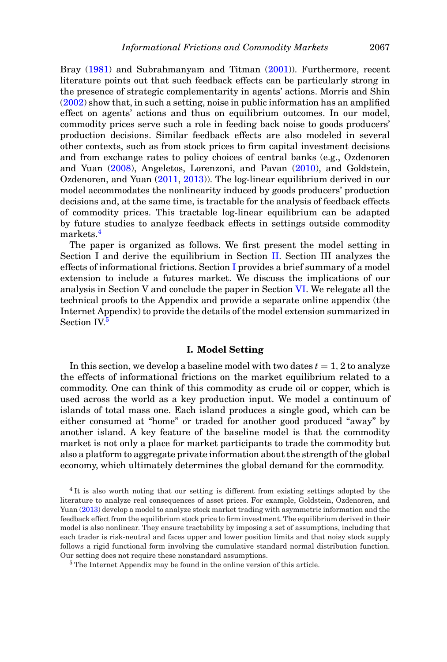Bray [\(1981\)](#page-33-3) and Subrahmanyam and Titman [\(2001\)](#page-34-14)). Furthermore, recent literature points out that such feedback effects can be particularly strong in the presence of strategic complementarity in agents' actions. Morris and Shin [\(2002\)](#page-34-15) show that, in such a setting, noise in public information has an amplified effect on agents' actions and thus on equilibrium outcomes. In our model, commodity prices serve such a role in feeding back noise to goods producers' production decisions. Similar feedback effects are also modeled in several other contexts, such as from stock prices to firm capital investment decisions and from exchange rates to policy choices of central banks (e.g., Ozdenoren and Yuan [\(2008\)](#page-34-16), Angeletos, Lorenzoni, and Pavan [\(2010\)](#page-33-4), and Goldstein, Ozdenoren, and Yuan [\(2011,](#page-34-17) [2013\)](#page-34-18)). The log-linear equilibrium derived in our model accommodates the nonlinearity induced by goods producers' production decisions and, at the same time, is tractable for the analysis of feedback effects of commodity prices. This tractable log-linear equilibrium can be adapted by future studies to analyze feedback effects in settings outside commodity markets.<sup>[4](#page-4-0)</sup>

The paper is organized as follows. We first present the model setting in Section I and derive the equilibrium in Section [II.](#page-8-0) Section III analyzes the effects of informational frictions. Section [I](#page-4-1) provides a brief summary of a model extension to include a futures market. We discuss the implications of our analysis in Section V and conclude the paper in Section [VI.](#page-23-0) We relegate all the technical proofs to the Appendix and provide a separate online appendix (the Internet Appendix) to provide the details of the model extension summarized in Section IV.<sup>5</sup>

# **I. Model Setting**

<span id="page-4-1"></span>In this section, we develop a baseline model with two dates  $t = 1, 2$  to analyze the effects of informational frictions on the market equilibrium related to a commodity. One can think of this commodity as crude oil or copper, which is used across the world as a key production input. We model a continuum of islands of total mass one. Each island produces a single good, which can be either consumed at "home" or traded for another good produced "away" by another island. A key feature of the baseline model is that the commodity market is not only a place for market participants to trade the commodity but also a platform to aggregate private information about the strength of the global economy, which ultimately determines the global demand for the commodity.

<span id="page-4-0"></span><sup>4</sup> It is also worth noting that our setting is different from existing settings adopted by the literature to analyze real consequences of asset prices. For example, Goldstein, Ozdenoren, and Yuan [\(2013\)](#page-34-18) develop a model to analyze stock market trading with asymmetric information and the feedback effect from the equilibrium stock price to firm investment. The equilibrium derived in their model is also nonlinear. They ensure tractability by imposing a set of assumptions, including that each trader is risk-neutral and faces upper and lower position limits and that noisy stock supply follows a rigid functional form involving the cumulative standard normal distribution function. Our setting does not require these nonstandard assumptions.

<span id="page-4-2"></span><sup>5</sup> The Internet Appendix may be found in the online version of this article.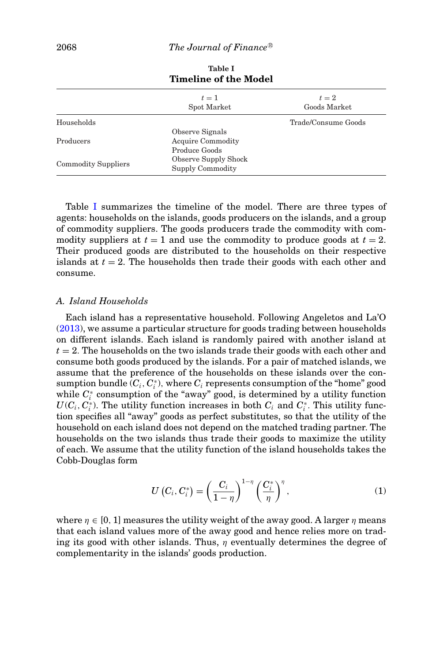<span id="page-5-0"></span>

| $t=1$<br>Spot Market        | $t=2$<br>Goods Market |
|-----------------------------|-----------------------|
|                             | Trade/Consume Goods   |
| Observe Signals             |                       |
| <b>Acquire Commodity</b>    |                       |
| Produce Goods               |                       |
| <b>Observe Supply Shock</b> |                       |
| Supply Commodity            |                       |
|                             |                       |

**Table I Timeline of the Model**

Table [I](#page-5-0) summarizes the timeline of the model. There are three types of agents: households on the islands, goods producers on the islands, and a group of commodity suppliers. The goods producers trade the commodity with commodity suppliers at  $t = 1$  and use the commodity to produce goods at  $t = 2$ . Their produced goods are distributed to the households on their respective islands at  $t = 2$ . The households then trade their goods with each other and consume.

# *A. Island Households*

Each island has a representative household. Following Angeletos and La'O [\(2013\)](#page-33-0), we assume a particular structure for goods trading between households on different islands. Each island is randomly paired with another island at *t* = 2. The households on the two islands trade their goods with each other and consume both goods produced by the islands. For a pair of matched islands, we assume that the preference of the households on these islands over the con- $\mathop{\rm summation{}}\nolimits\mathop{\rm bundle}\nolimits(C_i, C_i^*),$  where  $C_i$  represents consumption of the "home" good while  $C_i^*$  consumption of the "away" good, is determined by a utility function  $U(C_i, C_i^*)$ . The utility function increases in both  $C_i$  and  $C_i^*$ . This utility function specifies all "away" goods as perfect substitutes, so that the utility of the household on each island does not depend on the matched trading partner. The households on the two islands thus trade their goods to maximize the utility of each. We assume that the utility function of the island households takes the Cobb-Douglas form

<span id="page-5-1"></span>
$$
U(C_i, C_i^*) = \left(\frac{C_i}{1-\eta}\right)^{1-\eta} \left(\frac{C_i^*}{\eta}\right)^{\eta},\tag{1}
$$

where  $\eta \in [0, 1]$  measures the utility weight of the away good. A larger  $\eta$  means that each island values more of the away good and hence relies more on trading its good with other islands. Thus,  $\eta$  eventually determines the degree of complementarity in the islands' goods production.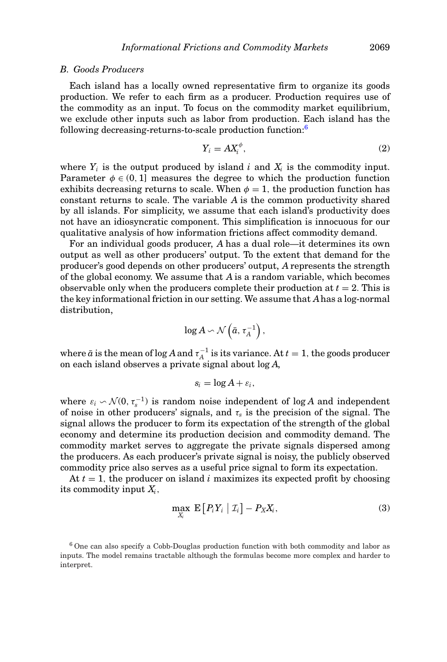#### *B. Goods Producers*

Each island has a locally owned representative firm to organize its goods production. We refer to each firm as a producer. Production requires use of the commodity as an input. To focus on the commodity market equilibrium, we exclude other inputs such as labor from production. Each island has the following decreasing-returns-to-scale production function[:6](#page-6-0)

<span id="page-6-1"></span>
$$
Y_i = A X_i^{\phi},\tag{2}
$$

where  $Y_i$  is the output produced by island  $i$  and  $X_i$  is the commodity input. Parameter  $\phi \in (0, 1]$  measures the degree to which the production function exhibits decreasing returns to scale. When  $\phi = 1$ , the production function has constant returns to scale. The variable *A* is the common productivity shared by all islands. For simplicity, we assume that each island's productivity does not have an idiosyncratic component. This simplification is innocuous for our qualitative analysis of how information frictions affect commodity demand.

For an individual goods producer, *A* has a dual role—it determines its own output as well as other producers' output. To the extent that demand for the producer's good depends on other producers' output, *A* represents the strength of the global economy. We assume that *A* is a random variable, which becomes observable only when the producers complete their production at  $t = 2$ . This is the key informational friction in our setting. We assume that *A*has a log-normal distribution,

$$
\log A \backsim \mathcal{N}\left(\bar{a}, \tau_A^{-1}\right),
$$

where  $\bar{a}$  is the mean of log  $A$  and  $\tau_A^{-1}$  is its variance. At  $t=1,$  the goods producer on each island observes a private signal about log *A*,

$$
s_i=\log A+\varepsilon_i,
$$

where  $\varepsilon_i \sim \mathcal{N}(0, \tau_s^{-1})$  is random noise independent of log *A* and independent of noise in other producers' signals, and  $\tau_s$  is the precision of the signal. The signal allows the producer to form its expectation of the strength of the global economy and determine its production decision and commodity demand. The commodity market serves to aggregate the private signals dispersed among the producers. As each producer's private signal is noisy, the publicly observed commodity price also serves as a useful price signal to form its expectation.

At  $t = 1$ , the producer on island *i* maximizes its expected profit by choosing its commodity input *Xi*,

<span id="page-6-2"></span>
$$
\max_{X_i} \mathbf{E}\left[P_i Y_i \mid \mathcal{I}_i\right] - P_X X_i,\tag{3}
$$

<span id="page-6-0"></span> $6$  One can also specify a Cobb-Douglas production function with both commodity and labor as inputs. The model remains tractable although the formulas become more complex and harder to interpret.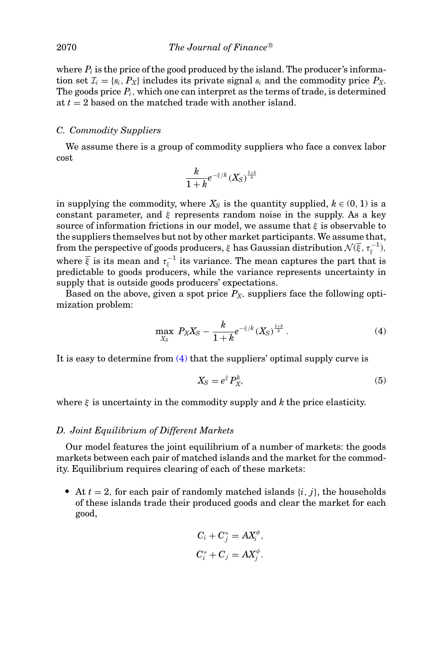where  $P_i$  is the price of the good produced by the island. The producer's information set  $\mathcal{I}_i = \{s_i, P_X\}$  includes its private signal  $s_i$  and the commodity price  $P_X$ . The goods price  $P_i$ , which one can interpret as the terms of trade, is determined at *t* = 2 based on the matched trade with another island.

# *C. Commodity Suppliers*

We assume there is a group of commodity suppliers who face a convex labor cost

$$
\frac{k}{1+k}e^{-\xi/k}\left(X_S\right)^{\frac{1+k}{k}}
$$

in supplying the commodity, where  $X<sub>S</sub>$  is the quantity supplied,  $k \in (0, 1)$  is a constant parameter, and  $\xi$  represents random noise in the supply. As a key source of information frictions in our model, we assume that  $\xi$  is observable to the suppliers themselves but not by other market participants. We assume that, from the perspective of goods producers,  $\xi$  has Gaussian distribution  $\mathcal{N}(\overline{\xi},\tau_{\xi}^{-1}),$ where  $\overline{\xi}$  is its mean and  $\tau_{\xi}^{-1}$  its variance. The mean captures the part that is predictable to goods producers, while the variance represents uncertainty in supply that is outside goods producers' expectations.

Based on the above, given a spot price  $P_X$ , suppliers face the following optimization problem:

<span id="page-7-0"></span>
$$
\max_{X_S} P_X X_S - \frac{k}{1+k} e^{-\xi/k} (X_S)^{\frac{1+k}{k}}.
$$
 (4)

It is easy to determine from  $(4)$  that the suppliers' optimal supply curve is

<span id="page-7-1"></span>
$$
X_{\rm S} = e^{\xi} P_X^k,\tag{5}
$$

where  $\xi$  is uncertainty in the commodity supply and  $k$  the price elasticity.

# *D. Joint Equilibrium of Different Markets*

Our model features the joint equilibrium of a number of markets: the goods markets between each pair of matched islands and the market for the commodity. Equilibrium requires clearing of each of these markets:

At  $t = 2$ , for each pair of randomly matched islands  $\{i, j\}$ , the households of these islands trade their produced goods and clear the market for each good,

$$
C_i + C_j^* = AX_i^{\phi},
$$
  

$$
C_i^* + C_j = AX_j^{\phi}.
$$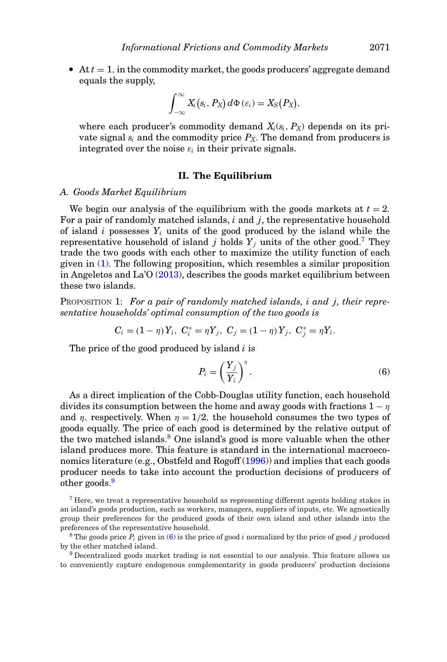$At  $t = 1$ , in the commodity market, the goods producers' aggregate demand$ equals the supply,

$$
\int_{-\infty}^{\infty} X_i(s_i, P_X) d\Phi(\varepsilon_i) = X_S(P_X),
$$

where each producer's commodity demand  $X_i(s_i, P_X)$  depends on its private signal  $s_i$  and the commodity price  $P_X$ . The demand from producers is integrated over the noise  $\varepsilon_i$  in their private signals.

### **II. The Equilibrium**

# <span id="page-8-0"></span>*A. Goods Market Equilibrium*

We begin our analysis of the equilibrium with the goods markets at  $t = 2$ . For a pair of randomly matched islands, *i* and *j*, the representative household of island  $i$  possesses  $Y_i$  units of the good produced by the island while the representative household of island *j* holds  $Y_j$  units of the other good.<sup>7</sup> They trade the two goods with each other to maximize the utility function of each given in [\(1\).](#page-5-1) The following proposition, which resembles a similar proposition in Angeletos and La'O [\(2013\)](#page-33-0), describes the goods market equilibrium between these two islands.

PROPOSITION 1: *For a pair of randomly matched islands, i and j, their representative households' optimal consumption of the two goods is*

<span id="page-8-5"></span>
$$
C_i = (1 - \eta) Y_i, \ C_i^* = \eta Y_j, \ C_j = (1 - \eta) Y_j, \ C_j^* = \eta Y_i.
$$

The price of the good produced by island *i* is

<span id="page-8-4"></span>
$$
P_i = \left(\frac{Y_j}{Y_i}\right)^{\eta}.\tag{6}
$$

As a direct implication of the Cobb-Douglas utility function, each household divides its consumption between the home and away goods with fractions  $1 - \eta$ and  $\eta$ , respectively. When  $\eta = 1/2$ , the household consumes the two types of goods equally. The price of each good is determined by the relative output of the two matched islands.<sup>8</sup> One island's good is more valuable when the other island produces more. This feature is standard in the international macroeconomics literature (e.g., Obstfeld and Rogoff [\(1996\)](#page-34-3)) and implies that each goods producer needs to take into account the production decisions of producers of other goods.<sup>9</sup>

<span id="page-8-1"></span> $7$  Here, we treat a representative household as representing different agents holding stakes in an island's goods production, such as workers, managers, suppliers of inputs, etc. We agnostically group their preferences for the produced goods of their own island and other islands into the preferences of the representative household.

<span id="page-8-3"></span><sup>9</sup> Decentralized goods market trading is not essential to our analysis. This feature allows us to conveniently capture endogenous complementarity in goods producers' production decisions

<span id="page-8-2"></span><sup>&</sup>lt;sup>8</sup> The goods price  $P_i$  given in [\(6\)](#page-8-4) is the price of good *i* normalized by the price of good *j* produced by the other matched island.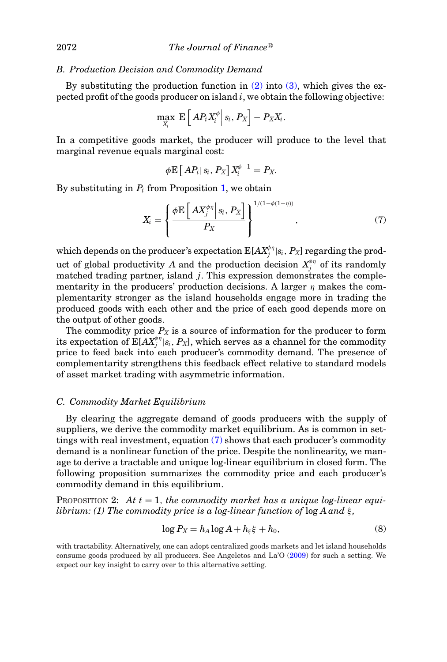### *B. Production Decision and Commodity Demand*

By substituting the production function in  $(2)$  into  $(3)$ , which gives the expected profit of the goods producer on island *i*, we obtain the following objective:

$$
\max_{X_i} \mathbb{E}\left[\left.AP_iX_i^{\phi}\right|s_i, P_X\right] - P_XX_i.
$$

In a competitive goods market, the producer will produce to the level that marginal revenue equals marginal cost:

$$
\phi \mathbf{E}\left[\left.AP_i\right|s_i, P_X\right]X_i^{\phi-1} = P_X.
$$

By substituting in  $P_i$  from Proposition [1,](#page-8-5) we obtain

<span id="page-9-0"></span>
$$
X_i = \left\{ \frac{\phi \mathbf{E} \left[ A X_j^{\phi \eta} \middle| s_i, P_X \right]}{P_X} \right\}^{1/(1-\phi(1-\eta))}, \tag{7}
$$

which depends on the producer's expectation  $\mathrm{E}[A X^{\phi_\eta}_j | s_i, P_X]$  regarding the product of global productivity *A* and the production decision  $X_j^{\phi\eta}$  of its randomly matched trading partner, island *j*. This expression demonstrates the complementarity in the producers' production decisions. A larger  $\eta$  makes the complementarity stronger as the island households engage more in trading the produced goods with each other and the price of each good depends more on the output of other goods.

The commodity price  $P_X$  is a source of information for the producer to form its expectation of  $\mathbf{E}[A X^{\phi_\eta}_j | s_i, P_X]$ , which serves as a channel for the commodity price to feed back into each producer's commodity demand. The presence of complementarity strengthens this feedback effect relative to standard models of asset market trading with asymmetric information.

# *C. Commodity Market Equilibrium*

By clearing the aggregate demand of goods producers with the supply of suppliers, we derive the commodity market equilibrium. As is common in settings with real investment, equation [\(7\)](#page-9-0) shows that each producer's commodity demand is a nonlinear function of the price. Despite the nonlinearity, we manage to derive a tractable and unique log-linear equilibrium in closed form. The following proposition summarizes the commodity price and each producer's commodity demand in this equilibrium.

<span id="page-9-1"></span>PROPOSITION 2: *At t* = 1, *the commodity market has a unique log-linear equilibrium: (1) The commodity price is a log-linear function of*  $\log A$  *and*  $\xi$ ,

<span id="page-9-2"></span>
$$
\log P_X = h_A \log A + h_{\xi} \xi + h_0,\tag{8}
$$

with tractability. Alternatively, one can adopt centralized goods markets and let island households consume goods produced by all producers. See Angeletos and La'O [\(2009\)](#page-33-5) for such a setting. We expect our key insight to carry over to this alternative setting.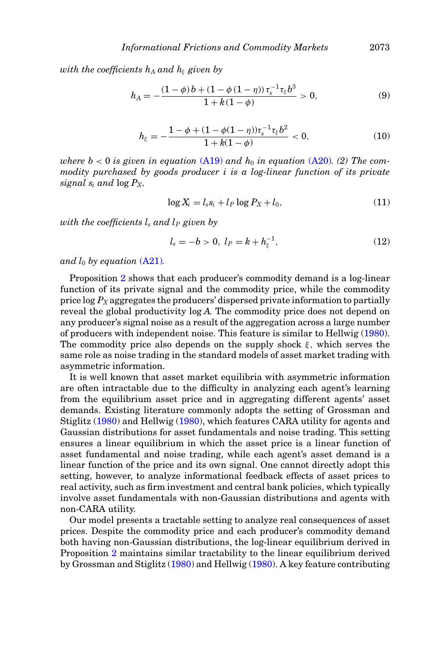*with the coefficients*  $h_A$  *and*  $h_\xi$  *given by* 

<span id="page-10-2"></span>
$$
h_A = -\frac{(1-\phi)b + (1-\phi(1-\eta))\,\tau_s^{-1}\tau_\xi b^3}{1 + k(1-\phi)} > 0,\tag{9}
$$

<span id="page-10-3"></span>
$$
h_{\xi} = -\frac{1 - \phi + (1 - \phi(1 - \eta))\tau_s^{-1}\tau_{\xi}b^2}{1 + k(1 - \phi)} < 0,\tag{10}
$$

*where b* < 0 *is given in equation* [\(A19\)](#page-27-0) and  $h_0$  *in equation* [\(A20\)](#page-27-1)*.* (2) The com*modity purchased by goods producer i is a log-linear function of its private signal si and* log *PX*,

<span id="page-10-1"></span>
$$
\log X_i = l_s s_i + l_P \log P_X + l_0,\tag{11}
$$

*with the coefficients*  $l_s$  *and*  $l_P$  *given by* 

<span id="page-10-0"></span>
$$
l_s = -b > 0, \ l_P = k + h_{\xi}^{-1}, \tag{12}
$$

*and*  $l_0$  *by equation* [\(A21\)](#page-27-2).

Proposition [2](#page-9-1) shows that each producer's commodity demand is a log-linear function of its private signal and the commodity price, while the commodity price log *PX* aggregates the producers' dispersed private information to partially reveal the global productivity log *A*. The commodity price does not depend on any producer's signal noise as a result of the aggregation across a large number of producers with independent noise. This feature is similar to Hellwig [\(1980\)](#page-34-2). The commodity price also depends on the supply shock  $\xi$ , which serves the same role as noise trading in the standard models of asset market trading with asymmetric information.

It is well known that asset market equilibria with asymmetric information are often intractable due to the difficulty in analyzing each agent's learning from the equilibrium asset price and in aggregating different agents' asset demands. Existing literature commonly adopts the setting of Grossman and Stiglitz [\(1980\)](#page-34-1) and Hellwig [\(1980\)](#page-34-2), which features CARA utility for agents and Gaussian distributions for asset fundamentals and noise trading. This setting ensures a linear equilibrium in which the asset price is a linear function of asset fundamental and noise trading, while each agent's asset demand is a linear function of the price and its own signal. One cannot directly adopt this setting, however, to analyze informational feedback effects of asset prices to real activity, such as firm investment and central bank policies, which typically involve asset fundamentals with non-Gaussian distributions and agents with non-CARA utility.

Our model presents a tractable setting to analyze real consequences of asset prices. Despite the commodity price and each producer's commodity demand both having non-Gaussian distributions, the log-linear equilibrium derived in Proposition [2](#page-9-1) maintains similar tractability to the linear equilibrium derived by Grossman and Stiglitz [\(1980\)](#page-34-1) and Hellwig [\(1980\)](#page-34-2). A key feature contributing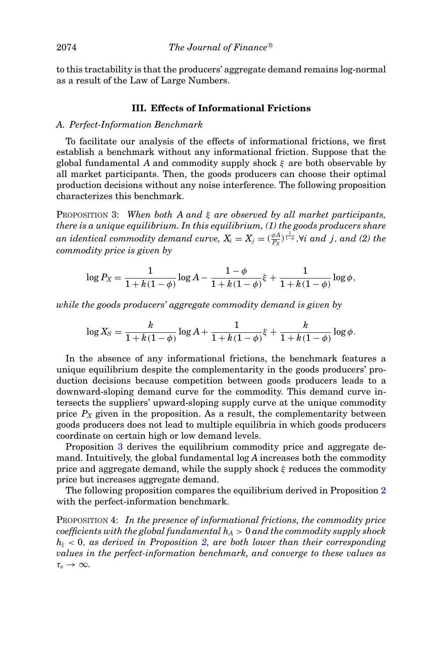to this tractability is that the producers' aggregate demand remains log-normal as a result of the Law of Large Numbers.

# **III. Effects of Informational Frictions**

#### *A. Perfect-Information Benchmark*

To facilitate our analysis of the effects of informational frictions, we first establish a benchmark without any informational friction. Suppose that the global fundamental *A* and commodity supply shock ξ are both observable by all market participants. Then, the goods producers can choose their optimal production decisions without any noise interference. The following proposition characterizes this benchmark.

<span id="page-11-0"></span>PROPOSITION 3: *When both A and* ξ *are observed by all market participants, there is a unique equilibrium. In this equilibrium, (1) the goods producers share*  $an\ identical\ commodity\ demand\ curve,\ X_i=X_j=(\frac{\phi A}{P_X})^{\frac{1}{1-\phi}}, \forall i\ and\ j,\ and\ (2)\ the$ *commodity price is given by*

$$
\log P_X = \frac{1}{1 + k(1 - \phi)} \log A - \frac{1 - \phi}{1 + k(1 - \phi)} \xi + \frac{1}{1 + k(1 - \phi)} \log \phi,
$$

*while the goods producers' aggregate commodity demand is given by*

$$
\log X_S = \frac{k}{1 + k(1 - \phi)} \log A + \frac{1}{1 + k(1 - \phi)} \xi + \frac{k}{1 + k(1 - \phi)} \log \phi.
$$

In the absence of any informational frictions, the benchmark features a unique equilibrium despite the complementarity in the goods producers' production decisions because competition between goods producers leads to a downward-sloping demand curve for the commodity. This demand curve intersects the suppliers' upward-sloping supply curve at the unique commodity price  $P_X$  given in the proposition. As a result, the complementarity between goods producers does not lead to multiple equilibria in which goods producers coordinate on certain high or low demand levels.

Proposition [3](#page-11-0) derives the equilibrium commodity price and aggregate demand. Intuitively, the global fundamental log *A* increases both the commodity price and aggregate demand, while the supply shock  $\xi$  reduces the commodity price but increases aggregate demand.

The following proposition compares the equilibrium derived in Proposition [2](#page-9-1) with the perfect-information benchmark.

<span id="page-11-1"></span>PROPOSITION 4: *In the presence of informational frictions, the commodity price coefficients with the global fundamental hA* > 0 *and the commodity supply shock h*<sup>ξ</sup> < 0, *as derived in Proposition [2,](#page-9-1) are both lower than their corresponding values in the perfect-information benchmark, and converge to these values as*  $\tau_s \to \infty$ .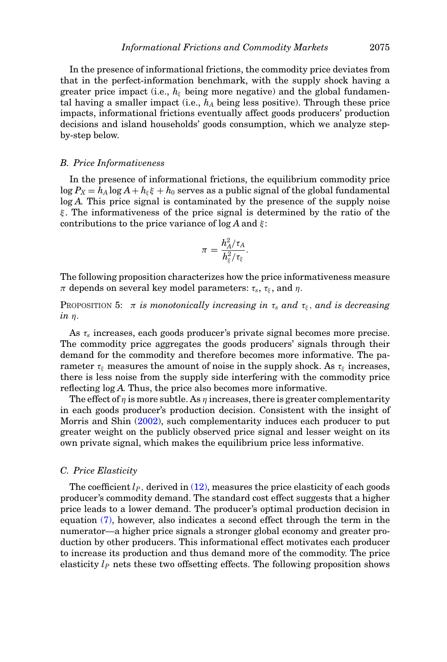In the presence of informational frictions, the commodity price deviates from that in the perfect-information benchmark, with the supply shock having a greater price impact (i.e.,  $h_{\xi}$  being more negative) and the global fundamental having a smaller impact (i.e.,  $h_A$  being less positive). Through these price impacts, informational frictions eventually affect goods producers' production decisions and island households' goods consumption, which we analyze stepby-step below.

#### *B. Price Informativeness*

In the presence of informational frictions, the equilibrium commodity price  $\log P_X = h_A \log A + h_{\xi} \xi + h_0$  serves as a public signal of the global fundamental log *A*. This price signal is contaminated by the presence of the supply noise  $\xi$ . The informativeness of the price signal is determined by the ratio of the contributions to the price variance of  $\log A$  and  $\xi$ :

$$
\pi = \frac{h^2_A/\tau_A}{h^2_\xi/\tau_\xi}.
$$

The following proposition characterizes how the price informativeness measure  $\pi$  depends on several key model parameters:  $\tau_s$ ,  $\tau_{\xi}$ , and  $\eta$ .

<span id="page-12-0"></span>PROPOSITION 5:  $\pi$  *is monotonically increasing in*  $\tau_s$  *and*  $\tau_{\xi}$ *, and is decreasing in* η.

As τ*<sup>s</sup>* increases, each goods producer's private signal becomes more precise. The commodity price aggregates the goods producers' signals through their demand for the commodity and therefore becomes more informative. The parameter  $\tau_{\xi}$  measures the amount of noise in the supply shock. As  $\tau_{\xi}$  increases, there is less noise from the supply side interfering with the commodity price reflecting log *A*. Thus, the price also becomes more informative.

The effect of  $\eta$  is more subtle. As  $\eta$  increases, there is greater complementarity in each goods producer's production decision. Consistent with the insight of Morris and Shin [\(2002\)](#page-34-15), such complementarity induces each producer to put greater weight on the publicly observed price signal and lesser weight on its own private signal, which makes the equilibrium price less informative.

# *C. Price Elasticity*

The coefficient  $l_P$ , derived in  $(12)$ , measures the price elasticity of each goods producer's commodity demand. The standard cost effect suggests that a higher price leads to a lower demand. The producer's optimal production decision in equation [\(7\),](#page-9-0) however, also indicates a second effect through the term in the numerator—a higher price signals a stronger global economy and greater production by other producers. This informational effect motivates each producer to increase its production and thus demand more of the commodity. The price elasticity  $l_p$  nets these two offsetting effects. The following proposition shows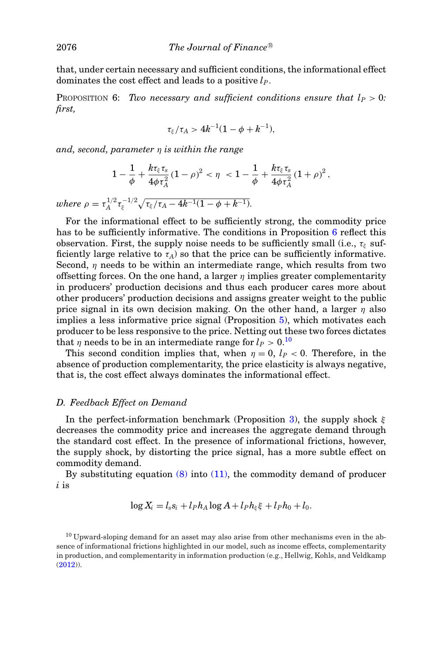that, under certain necessary and sufficient conditions, the informational effect dominates the cost effect and leads to a positive *lP*.

<span id="page-13-0"></span>PROPOSITION 6: *Two necessary and sufficient conditions ensure that*  $l_P > 0$ : *first,*

$$
\tau_{\xi}/\tau_A > 4k^{-1}(1-\phi+k^{-1}),
$$

*and, second, parameter* η *is within the range*

$$
1 - \frac{1}{\phi} + \frac{k \tau_{\xi} \tau_s}{4 \phi \tau_A^2} (1 - \rho)^2 < \eta < 1 - \frac{1}{\phi} + \frac{k \tau_{\xi} \tau_s}{4 \phi \tau_A^2} (1 + \rho)^2,
$$

 $where \rho = \tau_A^{1/2} \tau_\xi^{-1/2} \sqrt{\tau_\xi/\tau_A - 4k^{-1}(1-\phi + k^{-1})}.$ 

For the informational effect to be sufficiently strong, the commodity price has to be sufficiently informative. The conditions in Proposition [6](#page-13-0) reflect this observation. First, the supply noise needs to be sufficiently small (i.e.,  $\tau_{\xi}$  sufficiently large relative to  $\tau_A$ ) so that the price can be sufficiently informative. Second,  $\eta$  needs to be within an intermediate range, which results from two offsetting forces. On the one hand, a larger  $\eta$  implies greater complementarity in producers' production decisions and thus each producer cares more about other producers' production decisions and assigns greater weight to the public price signal in its own decision making. On the other hand, a larger  $\eta$  also implies a less informative price signal (Proposition [5\)](#page-12-0), which motivates each producer to be less responsive to the price. Netting out these two forces dictates that  $\eta$  needs to be in an intermediate range for  $l_P > 0$ .<sup>[10](#page-13-1)</sup>

This second condition implies that, when  $\eta = 0$ ,  $l_P < 0$ . Therefore, in the absence of production complementarity, the price elasticity is always negative, that is, the cost effect always dominates the informational effect.

# *D. Feedback Effect on Demand*

In the perfect-information benchmark (Proposition [3\)](#page-11-0), the supply shock  $\xi$ decreases the commodity price and increases the aggregate demand through the standard cost effect. In the presence of informational frictions, however, the supply shock, by distorting the price signal, has a more subtle effect on commodity demand.

By substituting equation  $(8)$  into  $(11)$ , the commodity demand of producer *i* is

$$
\log X_i = l_s s_i + l_P h_A \log A + l_P h_{\xi} \xi + l_P h_0 + l_0.
$$

<span id="page-13-1"></span><sup>10</sup> Upward-sloping demand for an asset may also arise from other mechanisms even in the absence of informational frictions highlighted in our model, such as income effects, complementarity in production, and complementarity in information production (e.g., Hellwig, Kohls, and Veldkamp [\(2012\)](#page-34-19)).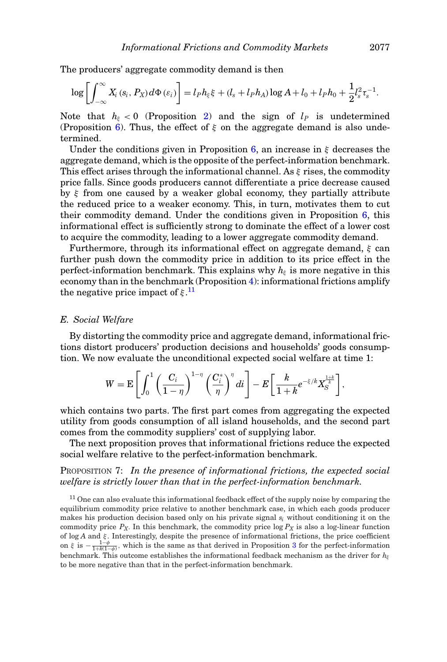The producers' aggregate commodity demand is then

$$
\log\left[\int_{-\infty}^{\infty} X_i\left(s_i, P_X\right)d\Phi\left(\varepsilon_i\right)\right] = l_P h_{\xi} \xi + (l_s + l_P h_A) \log A + l_0 + l_P h_0 + \frac{1}{2} l_s^2 \tau_s^{-1}.
$$

Note that  $h_{\xi} < 0$  (Proposition [2\)](#page-9-1) and the sign of  $l_P$  is undetermined (Proposition [6\)](#page-13-0). Thus, the effect of  $\xi$  on the aggregate demand is also undetermined.

Under the conditions given in Proposition [6,](#page-13-0) an increase in  $\xi$  decreases the aggregate demand, which is the opposite of the perfect-information benchmark. This effect arises through the informational channel. As  $\xi$  rises, the commodity price falls. Since goods producers cannot differentiate a price decrease caused by ξ from one caused by a weaker global economy, they partially attribute the reduced price to a weaker economy. This, in turn, motivates them to cut their commodity demand. Under the conditions given in Proposition [6,](#page-13-0) this informational effect is sufficiently strong to dominate the effect of a lower cost to acquire the commodity, leading to a lower aggregate commodity demand.

Furthermore, through its informational effect on aggregate demand,  $\xi$  can further push down the commodity price in addition to its price effect in the perfect-information benchmark. This explains why  $h_{\xi}$  is more negative in this economy than in the benchmark (Proposition [4\)](#page-11-1): informational frictions amplify the negative price impact of  $\xi$ .<sup>[11](#page-14-0)</sup>

## *E. Social Welfare*

By distorting the commodity price and aggregate demand, informational frictions distort producers' production decisions and households' goods consumption. We now evaluate the unconditional expected social welfare at time 1:

$$
W = \mathbf{E}\left[\int_0^1 \left(\frac{C_i}{1-\eta}\right)^{1-\eta} \left(\frac{C_i^*}{\eta}\right)^{\eta} d\mathbf{i}\right] - E\left[\frac{k}{1+k}e^{-\xi/k}X_S^{\frac{1+k}{k}}\right],
$$

which contains two parts. The first part comes from aggregating the expected utility from goods consumption of all island households, and the second part comes from the commodity suppliers' cost of supplying labor.

The next proposition proves that informational frictions reduce the expected social welfare relative to the perfect-information benchmark.

# PROPOSITION 7: *In the presence of informational frictions, the expected social welfare is strictly lower than that in the perfect-information benchmark.*

<span id="page-14-0"></span><sup>11</sup> One can also evaluate this informational feedback effect of the supply noise by comparing the equilibrium commodity price relative to another benchmark case, in which each goods producer makes his production decision based only on his private signal *si* without conditioning it on the commodity price  $P_X$ . In this benchmark, the commodity price  $\log P_X$  is also a log-linear function of log *A* and ξ . Interestingly, despite the presence of informational frictions, the price coefficient on  $\xi$  is  $-\frac{1-\phi}{1+k(1-\phi)}$ , which is the same as that derived in Proposition [3](#page-11-0) for the perfect-information benchmark. This outcome establishes the informational feedback mechanism as the driver for  $h_{\varepsilon}$ to be more negative than that in the perfect-information benchmark.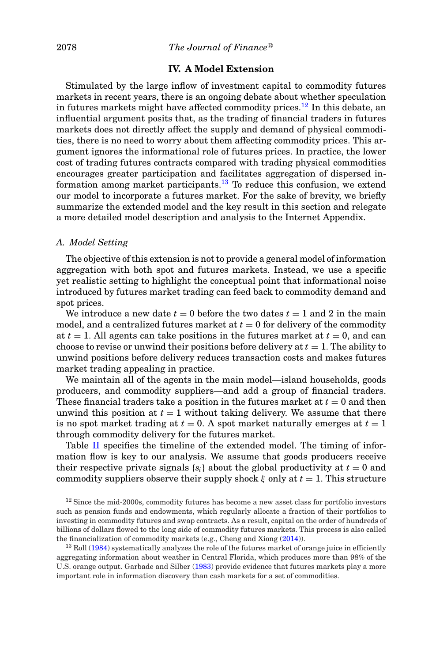# **IV. A Model Extension**

Stimulated by the large inflow of investment capital to commodity futures markets in recent years, there is an ongoing debate about whether speculation in futures markets might have affected commodity prices.<sup>12</sup> In this debate, an influential argument posits that, as the trading of financial traders in futures markets does not directly affect the supply and demand of physical commodities, there is no need to worry about them affecting commodity prices. This argument ignores the informational role of futures prices. In practice, the lower cost of trading futures contracts compared with trading physical commodities encourages greater participation and facilitates aggregation of dispersed information among market participants.<sup>13</sup> To reduce this confusion, we extend our model to incorporate a futures market. For the sake of brevity, we briefly summarize the extended model and the key result in this section and relegate a more detailed model description and analysis to the Internet Appendix.

## *A. Model Setting*

The objective of this extension is not to provide a general model of information aggregation with both spot and futures markets. Instead, we use a specific yet realistic setting to highlight the conceptual point that informational noise introduced by futures market trading can feed back to commodity demand and spot prices.

We introduce a new date  $t = 0$  before the two dates  $t = 1$  and 2 in the main model, and a centralized futures market at  $t = 0$  for delivery of the commodity at  $t = 1$ . All agents can take positions in the futures market at  $t = 0$ , and can choose to revise or unwind their positions before delivery at  $t = 1$ . The ability to unwind positions before delivery reduces transaction costs and makes futures market trading appealing in practice.

We maintain all of the agents in the main model—island households, goods producers, and commodity suppliers—and add a group of financial traders. These financial traders take a position in the futures market at  $t = 0$  and then unwind this position at  $t = 1$  without taking delivery. We assume that there is no spot market trading at  $t = 0$ . A spot market naturally emerges at  $t = 1$ through commodity delivery for the futures market.

Table [II](#page-16-0) specifies the timeline of the extended model. The timing of information flow is key to our analysis. We assume that goods producers receive their respective private signals  $\{s_i\}$  about the global productivity at  $t = 0$  and commodity suppliers observe their supply shock  $\xi$  only at  $t = 1$ . This structure

<span id="page-15-0"></span> $12$  Since the mid-2000s, commodity futures has become a new asset class for portfolio investors such as pension funds and endowments, which regularly allocate a fraction of their portfolios to investing in commodity futures and swap contracts. As a result, capital on the order of hundreds of billions of dollars flowed to the long side of commodity futures markets. This process is also called the financialization of commodity markets (e.g., Cheng and Xiong [\(2014\)](#page-34-0)).

<span id="page-15-1"></span><sup>13</sup> Roll [\(1984\)](#page-34-20) systematically analyzes the role of the futures market of orange juice in efficiently aggregating information about weather in Central Florida, which produces more than 98% of the U.S. orange output. Garbade and Silber [\(1983\)](#page-34-21) provide evidence that futures markets play a more important role in information discovery than cash markets for a set of commodities.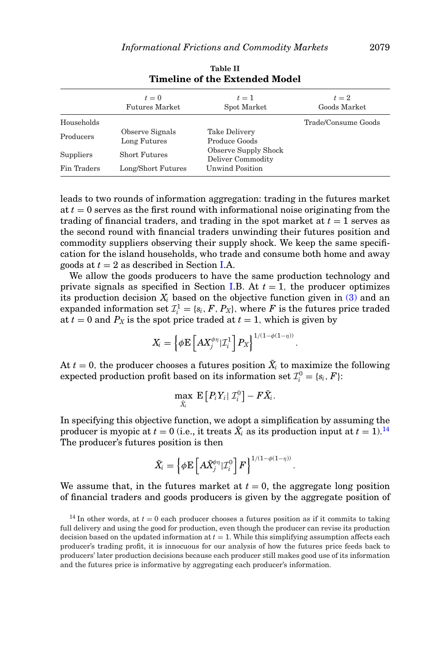<span id="page-16-0"></span>

|             | $t=0$<br><b>Futures Market</b> | $t=1$<br>Spot Market                             | $t=2$<br>Goods Market |
|-------------|--------------------------------|--------------------------------------------------|-----------------------|
| Households  |                                |                                                  | Trade/Consume Goods   |
| Producers   | Observe Signals                | <b>Take Delivery</b>                             |                       |
|             | Long Futures                   | Produce Goods                                    |                       |
| Suppliers   | <b>Short Futures</b>           | <b>Observe Supply Shock</b><br>Deliver Commodity |                       |
| Fin Traders | Long/Short Futures             | <b>Unwind Position</b>                           |                       |

**Table II Timeline of the Extended Model**

leads to two rounds of information aggregation: trading in the futures market at *t* = 0 serves as the first round with informational noise originating from the trading of financial traders, and trading in the spot market at  $t = 1$  serves as the second round with financial traders unwinding their futures position and commodity suppliers observing their supply shock. We keep the same specification for the island households, who trade and consume both home and away goods at  $t = 2$  as described in Section [I.](#page-4-1)A.

We allow the goods producers to have the same production technology and private signals as specified in Section [I.](#page-4-1)B. At  $t = 1$ , the producer optimizes its production decision  $X_i$  based on the objective function given in  $(3)$  and an expanded information set  $\mathcal{I}_i^1 = \{s_i, F, P_X\}$ , where *F* is the futures price traded at  $t = 0$  and  $P_X$  is the spot price traded at  $t = 1$ , which is given by

$$
X_i = \left\{ \phi \mathbf{E} \left[ A X_j^{\phi \eta} | \mathcal{I}_i^1 \right] P_X \right\}^{1/(1-\phi(1-\eta))}
$$

.

.

At  $t = 0$ , the producer chooses a futures position  $\tilde{X}_i$  to maximize the following  $\text{expected production profit based on its information set } \mathcal{I}_i^0 = \{s_i, F\}$ :

$$
\max_{\tilde{X}_i} \ \mathbf{E}\left[P_iY_i \mid \mathcal{I}_i^0\right] - F\tilde{X}_i.
$$

In specifying this objective function, we adopt a simplification by assuming the producer is myopic at  $t = 0$  (i.e., it treats  $\tilde{X}_i$  as its production input at  $t = 1$ ).<sup>[14](#page-16-1)</sup> The producer's futures position is then

$$
\tilde{X}_i = \left\{ \phi \mathbf{E} \left[ A \tilde{X}_j^{\phi \eta} | \mathcal{I}_i^0 \right] F \right\}^{1/(1-\phi(1-\eta))}
$$

We assume that, in the futures market at  $t = 0$ , the aggregate long position of financial traders and goods producers is given by the aggregate position of

<span id="page-16-1"></span><sup>&</sup>lt;sup>14</sup> In other words, at  $t = 0$  each producer chooses a futures position as if it commits to taking full delivery and using the good for production, even though the producer can revise its production decision based on the updated information at  $t = 1$ . While this simplifying assumption affects each producer's trading profit, it is innocuous for our analysis of how the futures price feeds back to producers' later production decisions because each producer still makes good use of its information and the futures price is informative by aggregating each producer's information.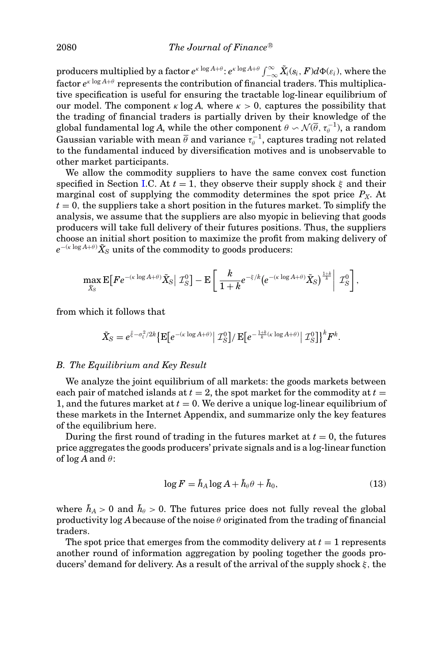$\text{produces} \text{ s multiplied by a factor } e^{\kappa \log A + \theta} \text{: } e^{\kappa \log A + \theta} \int_{-\infty}^{\infty} \tilde{X}_i(s_i, F) d\Phi(\varepsilon_i), \text{ where the } \theta_i \text{ is the same.}$ factor  $e^{\kappa \log A + \theta}$  represents the contribution of financial traders. This multiplicative specification is useful for ensuring the tractable log-linear equilibrium of our model. The component  $\kappa \log A$ , where  $\kappa > 0$ , captures the possibility that the trading of financial traders is partially driven by their knowledge of the global fundamental log *A*, while the other component  $\theta \sim \mathcal{N}(\overline{\theta}, \tau_{\theta}^{-1})$ , a random Gaussian variable with mean  $\overline{\theta}$  and variance  $\tau_{\theta}^{-1}$ , captures trading not related to the fundamental induced by diversification motives and is unobservable to other market participants.

We allow the commodity suppliers to have the same convex cost function specified in Section [I.](#page-4-1)C. At  $t = 1$ , they observe their supply shock  $\xi$  and their marginal cost of supplying the commodity determines the spot price  $P_X$ . At  $t = 0$ , the suppliers take a short position in the futures market. To simplify the analysis, we assume that the suppliers are also myopic in believing that goods producers will take full delivery of their futures positions. Thus, the suppliers choose an initial short position to maximize the profit from making delivery of  $e^{-(\kappa\log A+\theta)}\tilde X_S \text{ units of the commodity to goods producers:}$ 

$$
\max_{\tilde{X}_S} \mathbf{E} \big[ F e^{-(\kappa \log A + \theta)} \tilde{X}_S \big| \mathcal{I}_S^0 \big] - \mathbf{E} \bigg[ \frac{k}{1+k} e^{-\xi/k} \big( e^{-(\kappa \log A + \theta)} \tilde{X}_S \big)^{\frac{1+k}{k}} \bigg| \mathcal{I}_S^0 \bigg],
$$

from which it follows that

$$
\tilde{X}_S = e^{\bar{\xi} - \sigma_{\xi}^2/2k} \left\{ \mathbf{E} \left[ e^{-(\kappa \log A + \theta)} \right| \mathcal{I}_S^0 \right\} / \mathbf{E} \left[ e^{-\frac{1+k}{k}(\kappa \log A + \theta)} \right| \mathcal{I}_S^0 \right\}^k F^k.
$$

## *B. The Equilibrium and Key Result*

We analyze the joint equilibrium of all markets: the goods markets between each pair of matched islands at  $t = 2$ , the spot market for the commodity at  $t =$ 1, and the futures market at  $t = 0$ . We derive a unique log-linear equilibrium of these markets in the Internet Appendix, and summarize only the key features of the equilibrium here.

During the first round of trading in the futures market at  $t = 0$ , the futures price aggregates the goods producers' private signals and is a log-linear function of  $\log A$  and  $\theta$ :

<span id="page-17-0"></span>
$$
\log F = \tilde{h}_A \log A + \tilde{h}_\theta \theta + \tilde{h}_0,\tag{13}
$$

where  $\tilde{h}_A > 0$  and  $\tilde{h}_\theta > 0$ . The futures price does not fully reveal the global productivity  $\log A$  because of the noise  $\theta$  originated from the trading of financial traders.

The spot price that emerges from the commodity delivery at  $t = 1$  represents another round of information aggregation by pooling together the goods producers' demand for delivery. As a result of the arrival of the supply shock  $\xi$ , the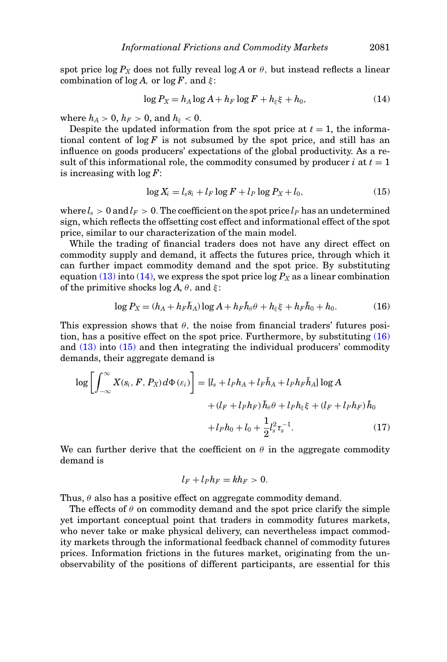spot price  $\log P_X$  does not fully reveal  $\log A$  or  $\theta$ , but instead reflects a linear combination of  $\log A$ , or  $\log F$ , and  $\xi$ :

<span id="page-18-0"></span>
$$
\log P_X = h_A \log A + h_F \log F + h_{\xi} \xi + h_0,\tag{14}
$$

where  $h_A > 0$ ,  $h_F > 0$ , and  $h_{\xi} < 0$ .

Despite the updated information from the spot price at  $t = 1$ , the informational content of  $\log F$  is not subsumed by the spot price, and still has an influence on goods producers' expectations of the global productivity. As a result of this informational role, the commodity consumed by producer  $i$  at  $t = 1$ is increasing with log *F*:

<span id="page-18-2"></span>
$$
\log X_i = l_s s_i + l_F \log F + l_P \log P_X + l_0,\tag{15}
$$

where  $l_s > 0$  and  $l_F > 0$ . The coefficient on the spot price  $l_P$  has an undetermined sign, which reflects the offsetting cost effect and informational effect of the spot price, similar to our characterization of the main model.

While the trading of financial traders does not have any direct effect on commodity supply and demand, it affects the futures price, through which it can further impact commodity demand and the spot price. By substituting equation [\(13\)](#page-17-0) into [\(14\),](#page-18-0) we express the spot price  $\log P_X$  as a linear combination of the primitive shocks  $\log A$ ,  $\theta$ , and  $\xi$ :

<span id="page-18-1"></span>
$$
\log P_X = (h_A + h_F \tilde{h}_A) \log A + h_F \tilde{h}_\theta \theta + h_\xi \xi + h_F \tilde{h}_0 + h_0. \tag{16}
$$

This expression shows that  $\theta$ , the noise from financial traders' futures position, has a positive effect on the spot price. Furthermore, by substituting [\(16\)](#page-18-1) and [\(13\)](#page-17-0) into [\(15\)](#page-18-2) and then integrating the individual producers' commodity demands, their aggregate demand is

$$
\log \left[ \int_{-\infty}^{\infty} X(s_i, F, P_X) d\Phi(\varepsilon_i) \right] = [l_s + l_P h_A + l_F \tilde{h}_A + l_P h_F \tilde{h}_A] \log A
$$
  
+ 
$$
(l_F + l_P h_F) \tilde{h}_{\theta} \theta + l_P h_{\xi} \xi + (l_F + l_P h_F) \tilde{h}_0
$$
  
+ 
$$
l_P h_0 + l_0 + \frac{1}{2} l_s^2 \tau_s^{-1}.
$$
 (17)

We can further derive that the coefficient on  $\theta$  in the aggregate commodity demand is

$$
l_F+l_Ph_F=kh_F>0.
$$

Thus,  $\theta$  also has a positive effect on aggregate commodity demand.

The effects of  $\theta$  on commodity demand and the spot price clarify the simple yet important conceptual point that traders in commodity futures markets, who never take or make physical delivery, can nevertheless impact commodity markets through the informational feedback channel of commodity futures prices. Information frictions in the futures market, originating from the unobservability of the positions of different participants, are essential for this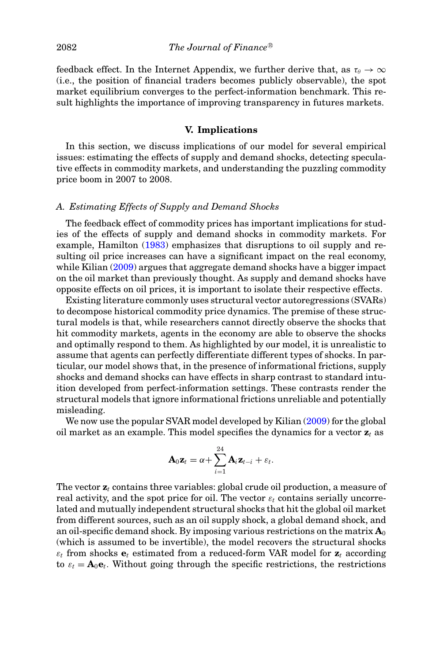feedback effect. In the Internet Appendix, we further derive that, as  $\tau_{\theta} \to \infty$ (i.e., the position of financial traders becomes publicly observable), the spot market equilibrium converges to the perfect-information benchmark. This result highlights the importance of improving transparency in futures markets.

# **V. Implications**

In this section, we discuss implications of our model for several empirical issues: estimating the effects of supply and demand shocks, detecting speculative effects in commodity markets, and understanding the puzzling commodity price boom in 2007 to 2008.

# *A. Estimating Effects of Supply and Demand Shocks*

The feedback effect of commodity prices has important implications for studies of the effects of supply and demand shocks in commodity markets. For example, Hamilton [\(1983\)](#page-34-22) emphasizes that disruptions to oil supply and resulting oil price increases can have a significant impact on the real economy, while Kilian [\(2009\)](#page-34-23) argues that aggregate demand shocks have a bigger impact on the oil market than previously thought. As supply and demand shocks have opposite effects on oil prices, it is important to isolate their respective effects.

Existing literature commonly uses structural vector autoregressions (SVARs) to decompose historical commodity price dynamics. The premise of these structural models is that, while researchers cannot directly observe the shocks that hit commodity markets, agents in the economy are able to observe the shocks and optimally respond to them. As highlighted by our model, it is unrealistic to assume that agents can perfectly differentiate different types of shocks. In particular, our model shows that, in the presence of informational frictions, supply shocks and demand shocks can have effects in sharp contrast to standard intuition developed from perfect-information settings. These contrasts render the structural models that ignore informational frictions unreliable and potentially misleading.

We now use the popular SVAR model developed by Kilian [\(2009\)](#page-34-23) for the global oil market as an example. This model specifies the dynamics for a vector  $z_t$  as

$$
\mathbf{A}_0 \mathbf{z}_t = \alpha + \sum_{i=1}^{24} \mathbf{A}_i \mathbf{z}_{t-i} + \varepsilon_t.
$$

The vector **z***<sup>t</sup>* contains three variables: global crude oil production, a measure of real activity, and the spot price for oil. The vector  $\varepsilon_t$  contains serially uncorrelated and mutually independent structural shocks that hit the global oil market from different sources, such as an oil supply shock, a global demand shock, and an oil-specific demand shock. By imposing various restrictions on the matrix  $A_0$ (which is assumed to be invertible), the model recovers the structural shocks  $\varepsilon_t$  from shocks  $e_t$  estimated from a reduced-form VAR model for  $z_t$  according to  $\varepsilon_t = \mathbf{A}_0 \mathbf{e}_t$ . Without going through the specific restrictions, the restrictions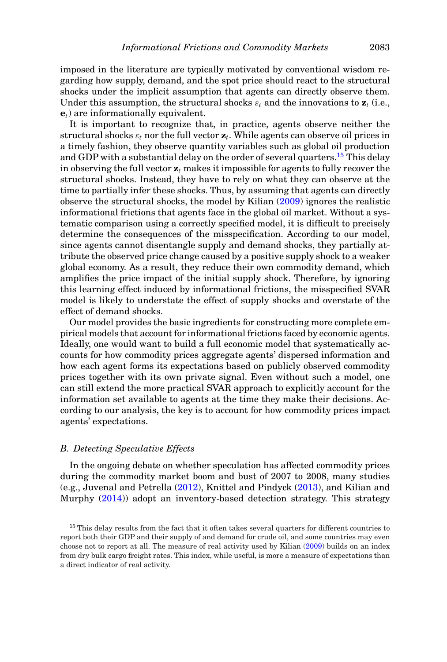imposed in the literature are typically motivated by conventional wisdom regarding how supply, demand, and the spot price should react to the structural shocks under the implicit assumption that agents can directly observe them. Under this assumption, the structural shocks  $\varepsilon_t$  and the innovations to  $\mathbf{z}_t$  (i.e., **e***t*) are informationally equivalent.

It is important to recognize that, in practice, agents observe neither the structural shocks  $\varepsilon_t$  nor the full vector  $\mathbf{z}_t$ . While agents can observe oil prices in a timely fashion, they observe quantity variables such as global oil production and GDP with a substantial delay on the order of several quarters.<sup>[15](#page-20-0)</sup> This delay in observing the full vector **z***<sup>t</sup>* makes it impossible for agents to fully recover the structural shocks. Instead, they have to rely on what they can observe at the time to partially infer these shocks. Thus, by assuming that agents can directly observe the structural shocks, the model by Kilian [\(2009\)](#page-34-23) ignores the realistic informational frictions that agents face in the global oil market. Without a systematic comparison using a correctly specified model, it is difficult to precisely determine the consequences of the misspecification. According to our model, since agents cannot disentangle supply and demand shocks, they partially attribute the observed price change caused by a positive supply shock to a weaker global economy. As a result, they reduce their own commodity demand, which amplifies the price impact of the initial supply shock. Therefore, by ignoring this learning effect induced by informational frictions, the misspecified SVAR model is likely to understate the effect of supply shocks and overstate of the effect of demand shocks.

Our model provides the basic ingredients for constructing more complete empirical models that account for informational frictions faced by economic agents. Ideally, one would want to build a full economic model that systematically accounts for how commodity prices aggregate agents' dispersed information and how each agent forms its expectations based on publicly observed commodity prices together with its own private signal. Even without such a model, one can still extend the more practical SVAR approach to explicitly account for the information set available to agents at the time they make their decisions. According to our analysis, the key is to account for how commodity prices impact agents' expectations.

#### *B. Detecting Speculative Effects*

In the ongoing debate on whether speculation has affected commodity prices during the commodity market boom and bust of 2007 to 2008, many studies (e.g., Juvenal and Petrella [\(2012\)](#page-34-4), Knittel and Pindyck [\(2013\)](#page-34-5), and Kilian and Murphy [\(2014\)](#page-34-6)) adopt an inventory-based detection strategy. This strategy

<span id="page-20-0"></span><sup>&</sup>lt;sup>15</sup> This delay results from the fact that it often takes several quarters for different countries to report both their GDP and their supply of and demand for crude oil, and some countries may even choose not to report at all. The measure of real activity used by Kilian [\(2009\)](#page-34-23) builds on an index from dry bulk cargo freight rates. This index, while useful, is more a measure of expectations than a direct indicator of real activity.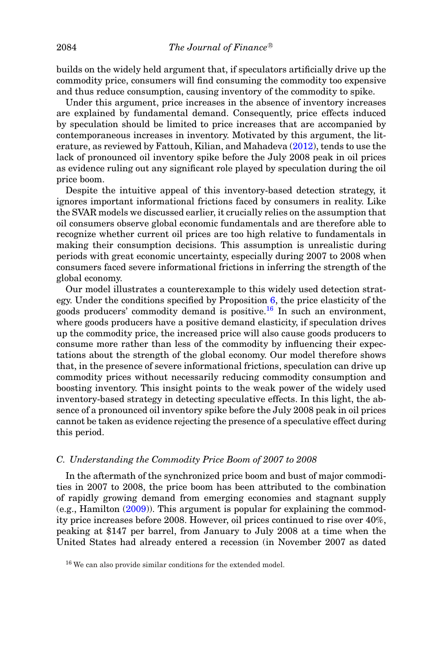builds on the widely held argument that, if speculators artificially drive up the commodity price, consumers will find consuming the commodity too expensive and thus reduce consumption, causing inventory of the commodity to spike.

Under this argument, price increases in the absence of inventory increases are explained by fundamental demand. Consequently, price effects induced by speculation should be limited to price increases that are accompanied by contemporaneous increases in inventory. Motivated by this argument, the literature, as reviewed by Fattouh, Kilian, and Mahadeva [\(2012\)](#page-34-24), tends to use the lack of pronounced oil inventory spike before the July 2008 peak in oil prices as evidence ruling out any significant role played by speculation during the oil price boom.

Despite the intuitive appeal of this inventory-based detection strategy, it ignores important informational frictions faced by consumers in reality. Like the SVAR models we discussed earlier, it crucially relies on the assumption that oil consumers observe global economic fundamentals and are therefore able to recognize whether current oil prices are too high relative to fundamentals in making their consumption decisions. This assumption is unrealistic during periods with great economic uncertainty, especially during 2007 to 2008 when consumers faced severe informational frictions in inferring the strength of the global economy.

Our model illustrates a counterexample to this widely used detection strategy. Under the conditions specified by Proposition  $6$ , the price elasticity of the goods producers' commodity demand is positive.<sup>[16](#page-21-0)</sup> In such an environment, where goods producers have a positive demand elasticity, if speculation drives up the commodity price, the increased price will also cause goods producers to consume more rather than less of the commodity by influencing their expectations about the strength of the global economy. Our model therefore shows that, in the presence of severe informational frictions, speculation can drive up commodity prices without necessarily reducing commodity consumption and boosting inventory. This insight points to the weak power of the widely used inventory-based strategy in detecting speculative effects. In this light, the absence of a pronounced oil inventory spike before the July 2008 peak in oil prices cannot be taken as evidence rejecting the presence of a speculative effect during this period.

# *C. Understanding the Commodity Price Boom of 2007 to 2008*

In the aftermath of the synchronized price boom and bust of major commodities in 2007 to 2008, the price boom has been attributed to the combination of rapidly growing demand from emerging economies and stagnant supply (e.g., Hamilton [\(2009\)](#page-34-7)). This argument is popular for explaining the commodity price increases before 2008. However, oil prices continued to rise over 40%, peaking at \$147 per barrel, from January to July 2008 at a time when the United States had already entered a recession (in November 2007 as dated

<span id="page-21-0"></span><sup>16</sup> We can also provide similar conditions for the extended model.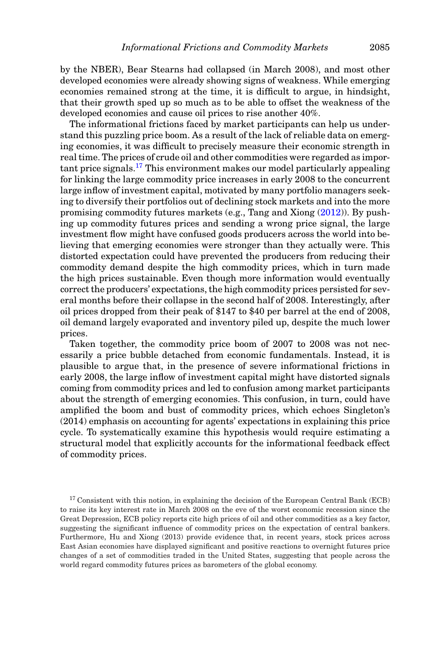by the NBER), Bear Stearns had collapsed (in March 2008), and most other developed economies were already showing signs of weakness. While emerging economies remained strong at the time, it is difficult to argue, in hindsight, that their growth sped up so much as to be able to offset the weakness of the developed economies and cause oil prices to rise another 40%.

The informational frictions faced by market participants can help us understand this puzzling price boom. As a result of the lack of reliable data on emerging economies, it was difficult to precisely measure their economic strength in real time. The prices of crude oil and other commodities were regarded as impor $t$  tant price signals.<sup>[17](#page-22-0)</sup> This environment makes our model particularly appealing for linking the large commodity price increases in early 2008 to the concurrent large inflow of investment capital, motivated by many portfolio managers seeking to diversify their portfolios out of declining stock markets and into the more promising commodity futures markets (e.g., Tang and Xiong [\(2012\)](#page-34-11)). By pushing up commodity futures prices and sending a wrong price signal, the large investment flow might have confused goods producers across the world into believing that emerging economies were stronger than they actually were. This distorted expectation could have prevented the producers from reducing their commodity demand despite the high commodity prices, which in turn made the high prices sustainable. Even though more information would eventually correct the producers' expectations, the high commodity prices persisted for several months before their collapse in the second half of 2008. Interestingly, after oil prices dropped from their peak of \$147 to \$40 per barrel at the end of 2008, oil demand largely evaporated and inventory piled up, despite the much lower prices.

Taken together, the commodity price boom of 2007 to 2008 was not necessarily a price bubble detached from economic fundamentals. Instead, it is plausible to argue that, in the presence of severe informational frictions in early 2008, the large inflow of investment capital might have distorted signals coming from commodity prices and led to confusion among market participants about the strength of emerging economies. This confusion, in turn, could have amplified the boom and bust of commodity prices, which echoes Singleton's (2014) emphasis on accounting for agents' expectations in explaining this price cycle. To systematically examine this hypothesis would require estimating a structural model that explicitly accounts for the informational feedback effect of commodity prices.

<span id="page-22-0"></span> $17$  Consistent with this notion, in explaining the decision of the European Central Bank (ECB) to raise its key interest rate in March 2008 on the eve of the worst economic recession since the Great Depression, ECB policy reports cite high prices of oil and other commodities as a key factor, suggesting the significant influence of commodity prices on the expectation of central bankers. Furthermore, Hu and Xiong (2013) provide evidence that, in recent years, stock prices across East Asian economies have displayed significant and positive reactions to overnight futures price changes of a set of commodities traded in the United States, suggesting that people across the world regard commodity futures prices as barometers of the global economy.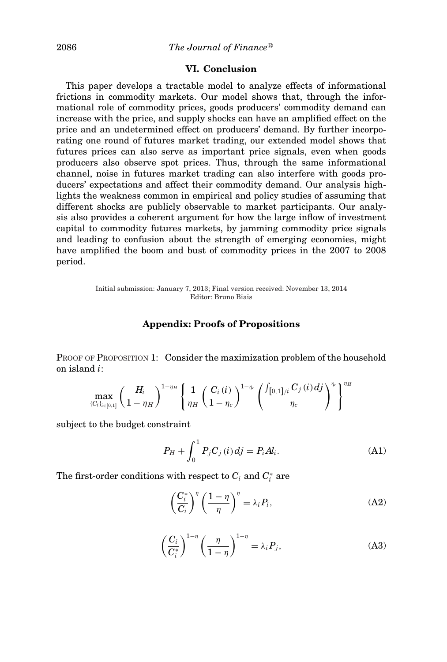# **VI. Conclusion**

This paper develops a tractable model to analyze effects of informational frictions in commodity markets. Our model shows that, through the informational role of commodity prices, goods producers' commodity demand can increase with the price, and supply shocks can have an amplified effect on the price and an undetermined effect on producers' demand. By further incorporating one round of futures market trading, our extended model shows that futures prices can also serve as important price signals, even when goods producers also observe spot prices. Thus, through the same informational channel, noise in futures market trading can also interfere with goods producers' expectations and affect their commodity demand. Our analysis highlights the weakness common in empirical and policy studies of assuming that different shocks are publicly observable to market participants. Our analysis also provides a coherent argument for how the large inflow of investment capital to commodity futures markets, by jamming commodity price signals and leading to confusion about the strength of emerging economies, might have amplified the boom and bust of commodity prices in the 2007 to 2008 period.

> Initial submission: January 7, 2013; Final version received: November 13, 2014 Editor: Bruno Biais

# **Appendix: Proofs of Propositions**

PROOF OF PROPOSITION 1: Consider the maximization problem of the household on island *i*:

$$
\max_{\{C_i\}_{i \in [\mathsf{0},1]}} \left( \frac{H_i}{1-\eta_H} \right)^{1-\eta_H} \left\{ \frac{1}{\eta_H} \left( \frac{C_i\left( i \right)}{1-\eta_c} \right)^{1-\eta_c} \left( \frac{\int_{\left[ 0,1 \right] / i} C_j \left( i \right) dj}{\eta_c} \right)^{\eta_c} \right\}^{\eta_H}
$$

subject to the budget constraint

<span id="page-23-3"></span>
$$
P_H + \int_0^1 P_j C_j(i) \, dj = P_i A_i. \tag{A1}
$$

The first-order conditions with respect to  $C_i$  and  $C_i^*$  are

<span id="page-23-1"></span>
$$
\left(\frac{C_i^*}{C_i}\right)^{\eta} \left(\frac{1-\eta}{\eta}\right)^{\eta} = \lambda_i P_i,
$$
\n(A2)

<span id="page-23-2"></span>
$$
\left(\frac{C_i}{C_i^*}\right)^{1-\eta} \left(\frac{\eta}{1-\eta}\right)^{1-\eta} = \lambda_i P_j,
$$
\n(A3)

<span id="page-23-0"></span>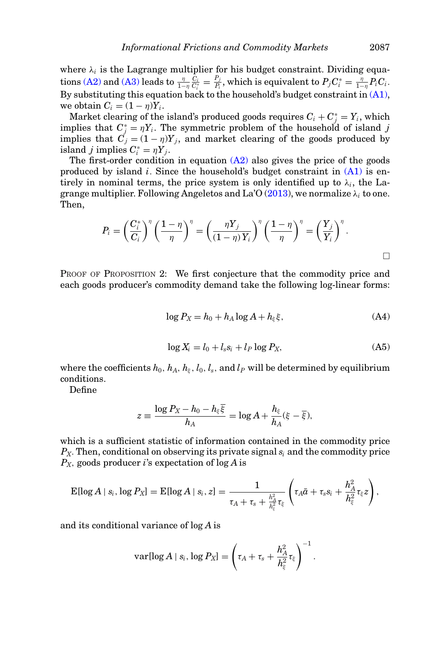where  $\lambda_i$  is the Lagrange multiplier for his budget constraint. Dividing equa- $\tau_{\text{max}}(\text{A2}) \text{ and } (\text{A3}) \text{ leads to } \frac{\eta}{1-\eta}\frac{C_i}{C_i^*} = \frac{P_j}{P_i}, \text{which is equivalent to } P_jC_i^* = \frac{\eta}{1-\eta}P_iC_i.$ By substituting this equation back to the household's budget constraint in  $(A1)$ , we obtain  $C_i = (1 - \eta)Y_i$ .

Market clearing of the island's produced goods requires  $C_i + C_j^* = Y_i$ , which implies that  $C_j^* = \eta Y_i$ . The symmetric problem of the household of island *j* implies that  $C_j = (1 - \eta)Y_j$ , and market clearing of the goods produced by island *j* implies  $C_i^* = \eta Y_j$ .

The first-order condition in equation  $(A2)$  also gives the price of the goods produced by island *i*. Since the household's budget constraint in [\(A1\)](#page-23-3) is entirely in nominal terms, the price system is only identified up to  $\lambda_i$ , the Lagrange multiplier. Following Angeletos and La'O  $(2013)$ , we normalize  $\lambda_i$  to one. Then,

$$
P_i = \left(\frac{C_i^*}{C_i}\right)^{\eta} \left(\frac{1-\eta}{\eta}\right)^{\eta} = \left(\frac{\eta Y_j}{(1-\eta)Y_i}\right)^{\eta} \left(\frac{1-\eta}{\eta}\right)^{\eta} = \left(\frac{Y_j}{Y_i}\right)^{\eta}.
$$

PROOF OF PROPOSITION 2: We first conjecture that the commodity price and each goods producer's commodity demand take the following log-linear forms:

$$
\log P_X = h_0 + h_A \log A + h_{\xi} \xi, \tag{A4}
$$

<span id="page-24-0"></span>
$$
\log X_i = l_0 + l_s s_i + l_P \log P_X,\tag{A5}
$$

where the coefficients  $h_0$ ,  $h_A$ ,  $h_{\xi}$ ,  $l_0$ ,  $l_s$ , and  $l_P$  will be determined by equilibrium conditions.

Define

$$
z \equiv \frac{\log P_X - h_0 - h_{\xi} \overline{\xi}}{h_A} = \log A + \frac{h_{\xi}}{h_A} (\xi - \overline{\xi}),
$$

which is a sufficient statistic of information contained in the commodity price *PX*. Then, conditional on observing its private signal *si* and the commodity price *PX*, goods producer *i*'s expectation of log *A* is

$$
\text{E}[\log A \mid s_i, \log P_X] = \text{E}[\log A \mid s_i, z] = \frac{1}{\tau_A + \tau_s + \frac{h_A^2}{h_{\xi}^2}\tau_{\xi}} \left(\tau_A \bar{a} + \tau_s s_i + \frac{h_A^2}{h_{\xi}^2}\tau_{\xi} z\right),
$$

and its conditional variance of log *A* is

$$
\text{var}[\log A \mid s_i, \log P_X] = \left(\tau_A + \tau_s + \frac{h_A^2}{h_{\xi}^2}\tau_{\xi}\right)^{-1}.
$$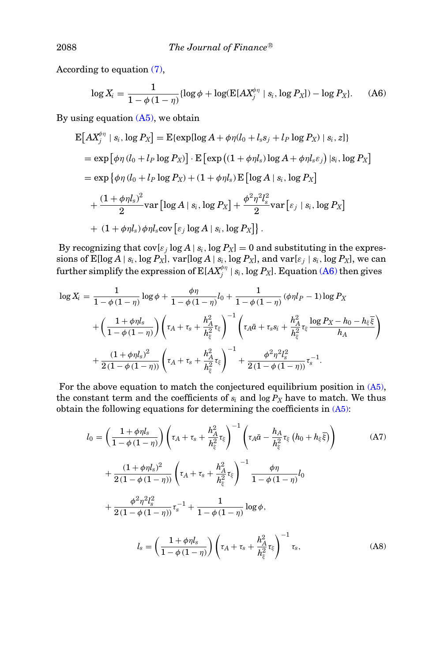According to equation [\(7\),](#page-9-0)

<span id="page-25-0"></span>
$$
\log X_i = \frac{1}{1 - \phi(1 - \eta)} \{ \log \phi + \log(E[AX_j^{\phi \eta} \mid s_i, \log P_X]) - \log P_X \}. \tag{A6}
$$

By using equation  $(A5)$ , we obtain

$$
\begin{split} \mathbf{E}\big[AX_j^{\phi\eta} \mid s_i, \log P_X\big] &= \mathbf{E}\{\exp[\log A + \phi\eta(l_0 + l_s s_j + l_P \log P_X) \mid s_i, z]\} \\ &= \exp\big[\phi\eta\left(l_0 + l_P \log P_X\right)\big] \cdot \mathbf{E}\big[\exp\left((1 + \phi\eta l_s) \log A + \phi\eta l_s \varepsilon_j\right) |s_i, \log P_X\big] \\ &= \exp\big\{\phi\eta\left(l_0 + l_P \log P_X\right) + (1 + \phi\eta l_s) \mathbf{E}\big[\log A \mid s_i, \log P_X\big] \\ &+ \frac{(1 + \phi\eta l_s)^2}{2} \text{var}\big[\log A \mid s_i, \log P_X\big] + \frac{\phi^2\eta^2 l_s^2}{2} \text{var}\big[\varepsilon_j \mid s_i, \log P_X\big] \\ &+ (1 + \phi\eta l_s) \phi\eta l_s \text{cov}\big[\varepsilon_j \log A \mid s_i, \log P_X\big]\big]. \end{split}
$$

By recognizing that  $cov[\varepsilon_j \log A | s_i, \log P_X] = 0$  and substituting in the expressions of  $\text{E}[\log A \mid s_i, \log P_X]$ ,  $\text{var}[\log A \mid s_i, \log P_X]$ , and  $\text{var}[\varepsilon_j \mid s_i, \log P_X]$ , we can further simplify the expression of  $\mathrm{E}[AX_j^{\phi\eta}\mid s_i, \log P_X].$  Equation [\(A6\)](#page-25-0) then gives

$$
\log X_i = \frac{1}{1 - \phi(1 - \eta)} \log \phi + \frac{\phi \eta}{1 - \phi(1 - \eta)} l_0 + \frac{1}{1 - \phi(1 - \eta)} (\phi \eta l_P - 1) \log P_X
$$
  
+ 
$$
\left(\frac{1 + \phi \eta l_s}{1 - \phi(1 - \eta)}\right) \left(\tau_A + \tau_s + \frac{h_A^2}{h_{\xi}^2} \tau_{\xi}\right)^{-1} \left(\tau_A \bar{a} + \tau_s s_i + \frac{h_A^2}{h_{\xi}^2} \tau_{\xi} \frac{\log P_X - h_0 - h_{\xi} \bar{\xi}}{h_A}\right)
$$
  
+ 
$$
\frac{(1 + \phi \eta l_s)^2}{2(1 - \phi(1 - \eta))} \left(\tau_A + \tau_s + \frac{h_A^2}{h_{\xi}^2} \tau_{\xi}\right)^{-1} + \frac{\phi^2 \eta^2 l_s^2}{2(1 - \phi(1 - \eta))} \tau_s^{-1}.
$$

For the above equation to match the conjectured equilibrium position in [\(A5\),](#page-24-0) the constant term and the coefficients of  $s_i$  and  $\log P_X$  have to match. We thus obtain the following equations for determining the coefficients in  $(A5)$ :

<span id="page-25-2"></span><span id="page-25-1"></span>
$$
l_{0} = \left(\frac{1+\phi\eta l_{s}}{1-\phi(1-\eta)}\right) \left(\tau_{A} + \tau_{s} + \frac{h_{A}^{2}}{h_{\xi}^{2}}\tau_{\xi}\right)^{-1} \left(\tau_{A}\bar{a} - \frac{h_{A}}{h_{\xi}^{2}}\tau_{\xi}\left(h_{0} + h_{\xi}\bar{\xi}\right)\right)
$$
(A7)  
+ 
$$
\frac{(1+\phi\eta l_{s})^{2}}{2(1-\phi(1-\eta))} \left(\tau_{A} + \tau_{s} + \frac{h_{A}^{2}}{h_{\xi}^{2}}\tau_{\xi}\right)^{-1} \frac{\phi\eta}{1-\phi(1-\eta)}l_{0}
$$
  
+ 
$$
\frac{\phi^{2}\eta^{2}l_{s}^{2}}{2(1-\phi(1-\eta))}\tau_{s}^{-1} + \frac{1}{1-\phi(1-\eta)}\log\phi,
$$
  

$$
l_{s} = \left(\frac{1+\phi\eta l_{s}}{1-\phi(1-\eta)}\right) \left(\tau_{A} + \tau_{s} + \frac{h_{A}^{2}}{h_{\xi}^{2}}\tau_{\xi}\right)^{-1}\tau_{s},
$$
(A8)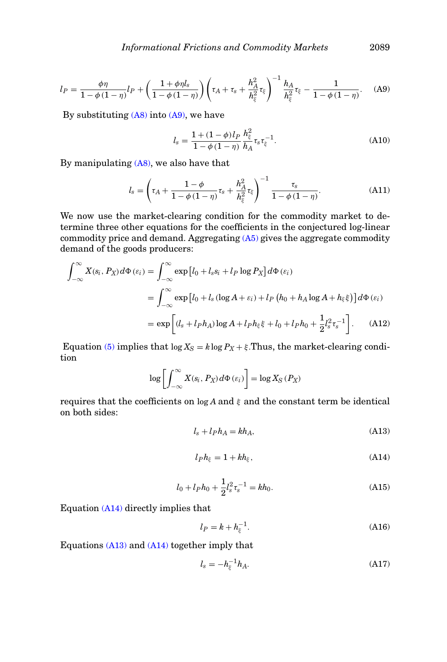<span id="page-26-0"></span>
$$
l_P = \frac{\phi \eta}{1 - \phi (1 - \eta)} l_P + \left( \frac{1 + \phi \eta l_s}{1 - \phi (1 - \eta)} \right) \left( \tau_A + \tau_s + \frac{h_A^2}{h_{\xi}^2} \tau_{\xi} \right)^{-1} \frac{h_A}{h_{\xi}^2} \tau_{\xi} - \frac{1}{1 - \phi (1 - \eta)}.
$$
 (A9)

By substituting  $(A8)$  into  $(A9)$ , we have

<span id="page-26-4"></span>
$$
l_s = \frac{1 + (1 - \phi)l_P}{1 - \phi(1 - \eta)} \frac{h_{\xi}^2}{h_A} \tau_s \tau_{\xi}^{-1}.
$$
 (A10)

By manipulating [\(A8\),](#page-25-1) we also have that

<span id="page-26-3"></span>
$$
l_s = \left(\tau_A + \frac{1-\phi}{1-\phi(1-\eta)}\tau_s + \frac{h_A^2}{h_{\xi}^2}\tau_{\xi}\right)^{-1} \frac{\tau_s}{1-\phi(1-\eta)}.
$$
 (A11)

We now use the market-clearing condition for the commodity market to determine three other equations for the coefficients in the conjectured log-linear commodity price and demand. Aggregating [\(A5\)](#page-24-0) gives the aggregate commodity demand of the goods producers:

$$
\int_{-\infty}^{\infty} X(s_i, P_X) d\Phi(\varepsilon_i) = \int_{-\infty}^{\infty} \exp [l_0 + l_s s_i + l_P \log P_X] d\Phi(\varepsilon_i)
$$
  

$$
= \int_{-\infty}^{\infty} \exp [l_0 + l_s (\log A + \varepsilon_i) + l_P (h_0 + h_A \log A + h_{\xi} \xi)] d\Phi(\varepsilon_i)
$$
  

$$
= \exp \left[ (l_s + l_P h_A) \log A + l_P h_{\xi} \xi + l_0 + l_P h_0 + \frac{1}{2} l_s^2 \tau_s^{-1} \right]. \tag{A12}
$$

Equation [\(5\)](#page-7-1) implies that  $\log X_S = k \log P_X + \xi$ . Thus, the market-clearing condition

$$
\log \left[ \int_{-\infty}^{\infty} X(s_i, P_X) d\Phi \left( \varepsilon_i \right) \right] = \log X_S \left( P_X \right)
$$

requires that the coefficients on  $\log A$  and  $\xi$  and the constant term be identical on both sides:

<span id="page-26-2"></span>
$$
l_s + l_p h_A = kh_A,\tag{A13}
$$

<span id="page-26-1"></span>
$$
l_P h_{\xi} = 1 + kh_{\xi},\tag{A14}
$$

<span id="page-26-6"></span>
$$
l_0 + l_P h_0 + \frac{1}{2} l_s^2 \tau_s^{-1} = k h_0.
$$
 (A15)

Equation [\(A14\)](#page-26-1) directly implies that

<span id="page-26-5"></span>
$$
l_P = k + h_{\xi}^{-1}.
$$
 (A16)

Equations [\(A13\)](#page-26-2) and [\(A14\)](#page-26-1) together imply that

<span id="page-26-7"></span>
$$
l_s = -h_{\xi}^{-1}h_A. \tag{A17}
$$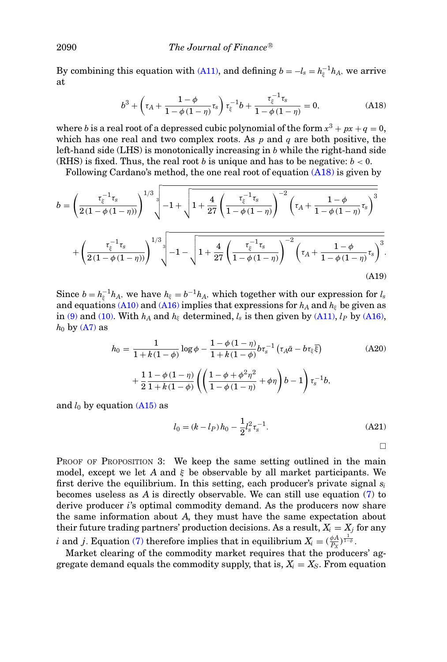By combining this equation with [\(A11\),](#page-26-3) and defining  $b = -l_s = h_{\xi}^{-1}h_A$ , we arrive at

<span id="page-27-3"></span>
$$
b^3 + \left(\tau_A + \frac{1-\phi}{1-\phi(1-\eta)}\tau_s\right)\tau_\xi^{-1}b + \frac{\tau_\xi^{-1}\tau_s}{1-\phi(1-\eta)} = 0,\tag{A18}
$$

where *b* is a real root of a depressed cubic polynomial of the form  $x^3 + px + q = 0$ , which has one real and two complex roots. As *p* and *q* are both positive, the left-hand side (LHS) is monotonically increasing in *b* while the right-hand side (RHS) is fixed. Thus, the real root *b* is unique and has to be negative:  $b < 0$ .

Following Cardano's method, the one real root of equation [\(A18\)](#page-27-3) is given by

<span id="page-27-0"></span>
$$
b = \left(\frac{\tau_{\xi}^{-1}\tau_{s}}{2(1-\phi(1-\eta))}\right)^{1/3} \left(-1 + \sqrt{1 + \frac{4}{27} \left(\frac{\tau_{\xi}^{-1}\tau_{s}}{1-\phi(1-\eta)}\right)^{-2} \left(\tau_{A} + \frac{1-\phi}{1-\phi(1-\eta)}\tau_{s}\right)^{3}} + \left(\frac{\tau_{\xi}^{-1}\tau_{s}}{2(1-\phi(1-\eta))}\right)^{1/3} \left(-1 - \sqrt{1 + \frac{4}{27} \left(\frac{\tau_{\xi}^{-1}\tau_{s}}{1-\phi(1-\eta)}\right)^{-2} \left(\tau_{A} + \frac{1-\phi}{1-\phi(1-\eta)}\tau_{s}\right)^{3}}\right)
$$
\n(A19)

Since  $b = h_{\xi}^{-1}h_A$ , we have  $h_{\xi} = b^{-1}h_A$ , which together with our expression for  $l_s$ and equations [\(A10\)](#page-26-4) and [\(A16\)](#page-26-5) implies that expressions for  $h_A$  and  $h_\xi$  be given as in [\(9\)](#page-10-2) and [\(10\).](#page-10-3) With  $h_A$  and  $h_\xi$  determined,  $l_s$  is then given by [\(A11\),](#page-26-3)  $l_P$  by [\(A16\),](#page-26-5)  $h_0$  by  $(A7)$  as

<span id="page-27-1"></span>
$$
h_0 = \frac{1}{1 + k(1 - \phi)} \log \phi - \frac{1 - \phi(1 - \eta)}{1 + k(1 - \phi)} b \tau_s^{-1} (\tau_A \bar{a} - b \tau_{\xi} \bar{\xi})
$$
(A20)  
+ 
$$
\frac{1}{2} \frac{1 - \phi(1 - \eta)}{1 + k(1 - \phi)} \left( \left( \frac{1 - \phi + \phi^2 \eta^2}{1 - \phi(1 - \eta)} + \phi \eta \right) b - 1 \right) \tau_s^{-1} b,
$$

and  $l_0$  by equation [\(A15\)](#page-26-6) as

<span id="page-27-2"></span>
$$
l_0 = (k - l_P)h_0 - \frac{1}{2}l_s^2 \tau_s^{-1}.
$$
 (A21)

 $\Box$ 

PROOF OF PROPOSITION 3: We keep the same setting outlined in the main model, except we let *A* and  $\xi$  be observable by all market participants. We first derive the equilibrium. In this setting, each producer's private signal *si* becomes useless as *A* is directly observable. We can still use equation [\(7\)](#page-9-0) to derive producer *i*'s optimal commodity demand. As the producers now share the same information about *A*, they must have the same expectation about their future trading partners' production decisions. As a result,  $X_i = X_j$  for any *i* and *j*. Equation [\(7\)](#page-9-0) therefore implies that in equilibrium  $X_i = (\frac{\phi A}{P_X})^{\frac{1}{1-\phi}}$ .

Market clearing of the commodity market requires that the producers' aggregate demand equals the commodity supply, that is,  $X_i = X_S$ . From equation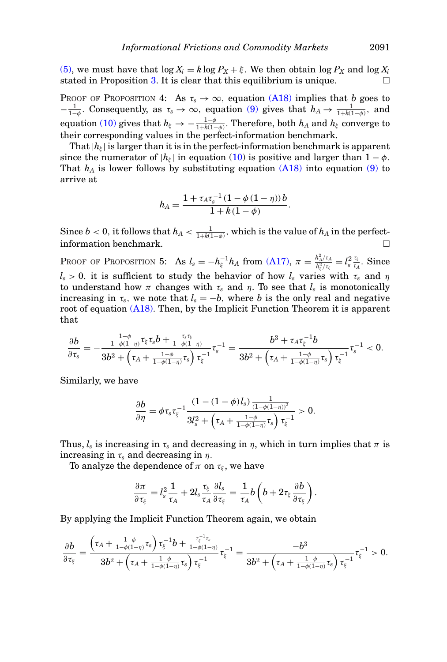[\(5\),](#page-7-1) we must have that  $\log X_i = k \log P_X + \xi$ . We then obtain  $\log P_X$  and  $\log X_i$ stated in Proposition [3.](#page-11-0) It is clear that this equilibrium is unique.

PROOF OF PROPOSITION 4: As  $\tau_s \to \infty$ , equation [\(A18\)](#page-27-3) implies that *b* goes to  $-\frac{1}{1-\phi}$ . Consequently, as  $\tau_s \to \infty$ , equation [\(9\)](#page-10-2) gives that  $h_A \to \frac{1}{1+k(1-\phi)}$ , and  $\text{equation (10) gives that } h_\xi \to -\frac{1-\phi}{1+k(1-\phi)}. \text{ Therefore, both } h_A \text{ and } h_\xi \text{ converge to } \phi.$  $\text{equation (10) gives that } h_\xi \to -\frac{1-\phi}{1+k(1-\phi)}. \text{ Therefore, both } h_A \text{ and } h_\xi \text{ converge to } \phi.$  $\text{equation (10) gives that } h_\xi \to -\frac{1-\phi}{1+k(1-\phi)}. \text{ Therefore, both } h_A \text{ and } h_\xi \text{ converge to } \phi.$ their corresponding values in the perfect-information benchmark.

That  $|h_{\xi}|$  is larger than it is in the perfect-information benchmark is apparent since the numerator of  $|h_{\xi}|$  in equation [\(10\)](#page-10-3) is positive and larger than  $1 - \phi$ . That  $h_A$  is lower follows by substituting equation  $(A18)$  into equation  $(9)$  to arrive at

$$
h_A = \frac{1 + \tau_A \tau_s^{-1} (1 - \phi (1 - \eta)) b}{1 + k (1 - \phi)}.
$$

 $\text{Since } b < 0, \text{ it follows that } h_A < \frac{1}{1 + k(1 - \phi)}, \text{ which is the value of } h_A \text{ in the perfect-}$ information benchmark.

PROOF OF PROPOSITION 5: As  $l_s = -h_{\xi}^{-1}h_A$  from [\(A17\),](#page-26-7)  $\pi = \frac{h_A^2/\tau_A}{h_{\xi}^2/\tau_{\xi}} = l_s^2 \frac{\tau_{\xi}}{\tau_A}$ . Since  $l_s > 0$ , it is sufficient to study the behavior of how  $l_s$  varies with  $\tau_s$  and  $\eta$ to understand how  $\pi$  changes with  $\tau_s$  and  $\eta$ . To see that  $l_s$  is monotonically increasing in  $\tau_s$ , we note that  $l_s = -b$ , where *b* is the only real and negative root of equation [\(A18\).](#page-27-3) Then, by the Implicit Function Theorem it is apparent that

$$
\frac{\partial b}{\partial \tau_s}=-\frac{\frac{1-\phi}{1-\phi(1-\eta)}\tau_{\xi}\tau_s b+\frac{\tau_s\tau_{\xi}}{1-\phi(1-\eta)}}{3b^2+\left(\tau_A+\frac{1-\phi}{1-\phi(1-\eta)}\tau_s\right)\tau_{\xi}^{-1}}\tau_s^{-1}=\frac{b^3+\tau_A\tau_{\xi}^{-1}b}{3b^2+\left(\tau_A+\frac{1-\phi}{1-\phi(1-\eta)}\tau_s\right)\tau_{\xi}^{-1}}\tau_s^{-1}<0.
$$

Similarly, we have

$$
\frac{\partial b}{\partial \eta} = \phi \tau_s \tau_{\xi}^{-1} \frac{(1 - (1 - \phi)l_s) \frac{1}{(1 - \phi(1 - \eta))^2}}{3l_s^2 + \left(\tau_A + \frac{1 - \phi}{1 - \phi(1 - \eta)} \tau_s\right) \tau_{\xi}^{-1}} > 0.
$$

Thus,  $l_s$  is increasing in  $\tau_s$  and decreasing in  $\eta$ , which in turn implies that  $\pi$  is increasing in  $\tau_s$  and decreasing in  $\eta$ .

To analyze the dependence of  $\pi$  on  $\tau_{\xi}$ , we have

$$
\frac{\partial \pi}{\partial \tau_\xi} = l_s^2 \frac{1}{\tau_A} + 2l_s \frac{\tau_\xi}{\tau_A} \frac{\partial l_s}{\partial \tau_\xi} = \frac{1}{\tau_A} b\left(b + 2\tau_\xi \frac{\partial b}{\partial \tau_\xi}\right).
$$

By applying the Implicit Function Theorem again, we obtain

$$
\frac{\partial b}{\partial \tau_\xi}=\frac{\left(\tau_A+\frac{1-\phi}{1-\phi(1-\eta)}\tau_s\right)\tau_\xi^{-1}b+\frac{\tau_\xi^{-1}\tau_s}{1-\phi(1-\eta)}}{3b^2+\left(\tau_A+\frac{1-\phi}{1-\phi(1-\eta)}\tau_s\right)\tau_\xi^{-1}}\tau_\xi^{-1}=\frac{-b^3}{3b^2+\left(\tau_A+\frac{1-\phi}{1-\phi(1-\eta)}\tau_s\right)\tau_\xi^{-1}}\tau_\xi^{-1}>0.
$$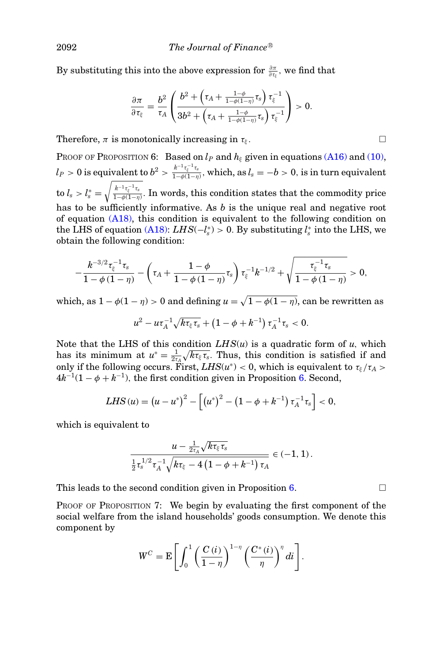By substituting this into the above expression for  $\frac{\partial \pi}{\partial \tau_{\xi}}$ , we find that

$$
\frac{\partial \pi}{\partial \tau_{\xi}} = \frac{b^2}{\tau_A} \left( \frac{b^2 + \left( \tau_A + \frac{1-\phi}{1-\phi(1-\eta)} \tau_s \right) \tau_{\xi}^{-1}}{3b^2 + \left( \tau_A + \frac{1-\phi}{1-\phi(1-\eta)} \tau_s \right) \tau_{\xi}^{-1}} \right) > 0.
$$

Therefore,  $\pi$  is monotonically increasing in  $\tau_k$ .

PROOF OF PROPOSITION 6: Based on  $l_P$  and  $h_{\xi}$  given in equations [\(A16\)](#page-26-5) and [\(10\),](#page-10-3)  $l_P>0\text{ is equivalent to }b^2>\frac{k^{-1}\tau_{\varepsilon}^{-1}\tau_{s}}{1-b(1-n)}$  $\frac{h^a - l_{\frac{c}{2}} - l_{\frac{c}{2}}}{1 - \phi(1 - \eta)},$  which, as  $l_s = -b > 0$ , is in turn equivalent  $\text{to} \ l_s > l_s^* = \sqrt{\frac{k^{-1}\tau_{\varepsilon}^{-1}\tau_s}{1-\phi(1-\eta)}}$  $\frac{n-\epsilon_{\xi}+\epsilon_{s}}{1-\phi(1-\eta)}$ . In words, this condition states that the commodity price has to be sufficiently informative. As *b* is the unique real and negative root of equation [\(A18\),](#page-27-3) this condition is equivalent to the following condition on the LHS of equation [\(A18\):](#page-27-3)  $LHS(-l_s^*) > 0$ . By substituting  $l_s^*$  into the LHS, we obtain the following condition:

$$
-\frac{k^{-3/2}\tau_{\xi}^{-1}\tau_s}{1-\phi\left(1-\eta\right)}-\left(\tau_A+\frac{1-\phi}{1-\phi\left(1-\eta\right)}\tau_s\right)\tau_{\xi}^{-1}k^{-1/2}+\sqrt{\frac{\tau_{\xi}^{-1}\tau_s}{1-\phi\left(1-\eta\right)}}>0,
$$

which, as  $1 - \phi(1 - \eta) > 0$  and defining  $u = \sqrt{1 - \phi(1 - \eta)}$ , can be rewritten as

$$
u^2-u\tau_A^{-1}\sqrt{k\tau_\xi\tau_s}+\left(1-\phi+k^{-1}\right)\tau_A^{-1}\tau_s<0.
$$

Note that the LHS of this condition  $LHS(u)$  is a quadratic form of *u*, which has its minimum at  $u^* = \frac{1}{2\tau_A} \sqrt{k\tau_\xi \tau_s}$ . Thus, this condition is satisfied if and only if the following occurs. First,  $LHS(u^*) < 0$ , which is equivalent to  $\tau_{\xi}/\tau_A >$  $4k^{-1}(1-\phi+k^{-1})$ , the first condition given in Proposition [6.](#page-13-0) Second,

LHS (u) = 
$$
(u - u^*)^2 - [(u^*)^2 - (1 - \phi + k^{-1}) \tau_A^{-1} \tau_s] < 0
$$
,

which is equivalent to

$$
\frac{u - \frac{1}{2\tau_A}\sqrt{k\tau_{\xi}\tau_s}}{\frac{1}{2}\tau_s^{1/2}\tau_A^{-1}\sqrt{k\tau_{\xi}-4\left(1-\phi+k^{-1}\right)\tau_A}} \in (-1,1).
$$

This leads to the second condition given in Proposition [6.](#page-13-0)  $\Box$ 

PROOF OF PROPOSITION 7: We begin by evaluating the first component of the social welfare from the island households' goods consumption. We denote this component by

$$
W^C = \mathbf{E} \left[ \int_0^1 \left( \frac{C(i)}{1 - \eta} \right)^{1 - \eta} \left( \frac{C^*(i)}{\eta} \right)^{\eta} di \right].
$$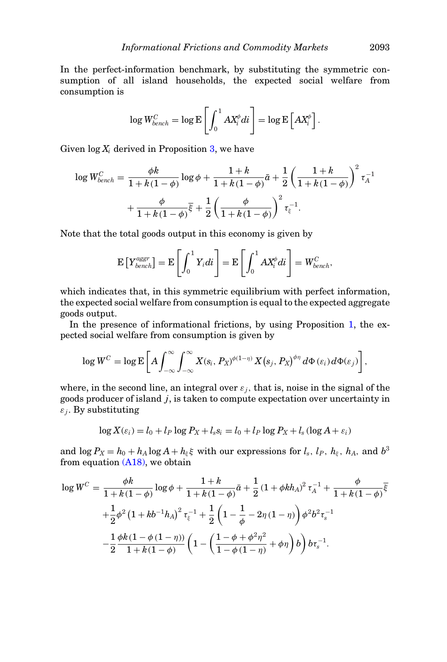In the perfect-information benchmark, by substituting the symmetric consumption of all island households, the expected social welfare from consumption is

$$
\log W_{bench}^{C} = \log \mathrm{E}\left[\int_{0}^{1} A X_{i}^{\phi} d i\right] = \log \mathrm{E}\left[A X_{i}^{\phi}\right].
$$

Given  $\log X_i$  derived in Proposition [3,](#page-11-0) we have

$$
\log W_{bench}^{C} = \frac{\phi k}{1 + k(1 - \phi)} \log \phi + \frac{1 + k}{1 + k(1 - \phi)} \bar{a} + \frac{1}{2} \left( \frac{1 + k}{1 + k(1 - \phi)} \right)^2 \tau_A^{-1} + \frac{\phi}{1 + k(1 - \phi)} \bar{\xi} + \frac{1}{2} \left( \frac{\phi}{1 + k(1 - \phi)} \right)^2 \tau_{\xi}^{-1}.
$$

Note that the total goods output in this economy is given by

$$
\mathbf{E}\left[Y_{bench}^{aggr}\right] = \mathbf{E}\left[\int_0^1 Y_i di\right] = \mathbf{E}\left[\int_0^1 AX_i^{\phi} di\right] = W_{bench}^C,
$$

which indicates that, in this symmetric equilibrium with perfect information, the expected social welfare from consumption is equal to the expected aggregate goods output.

In the presence of informational frictions, by using Proposition [1,](#page-8-5) the expected social welfare from consumption is given by

$$
\log W^C = \log \mathbb{E}\left[A\int_{-\infty}^{\infty}\int_{-\infty}^{\infty} X(s_i, P_X)^{\phi(1-\eta)} X(s_j, P_X)^{\phi\eta} d\Phi(s_i) d\Phi(s_j)\right],
$$

where, in the second line, an integral over  $\varepsilon_j$ , that is, noise in the signal of the goods producer of island *j*, is taken to compute expectation over uncertainty in  $\varepsilon_i$ . By substituting

$$
\log X(\varepsilon_i) = l_0 + l_P \log P_X + l_s s_i = l_0 + l_P \log P_X + l_s (\log A + \varepsilon_i)
$$

and  $\log P_X = h_0 + h_A \log A + h_\xi \xi$  with our expressions for  $l_s$ ,  $l_P$ ,  $h_\xi$ ,  $h_A$ , and  $b^3$ from equation [\(A18\),](#page-27-3) we obtain

$$
\log W^C = \frac{\phi k}{1 + k(1 - \phi)} \log \phi + \frac{1 + k}{1 + k(1 - \phi)} \bar{a} + \frac{1}{2} (1 + \phi k h_A)^2 \tau_A^{-1} + \frac{\phi}{1 + k(1 - \phi)} \bar{\xi}
$$
  
+ 
$$
\frac{1}{2} \phi^2 (1 + k b^{-1} h_A)^2 \tau_{\xi}^{-1} + \frac{1}{2} \left( 1 - \frac{1}{\phi} - 2\eta (1 - \eta) \right) \phi^2 b^2 \tau_s^{-1}
$$
  
- 
$$
\frac{1}{2} \frac{\phi k (1 - \phi (1 - \eta))}{1 + k(1 - \phi)} \left( 1 - \left( \frac{1 - \phi + \phi^2 \eta^2}{1 - \phi (1 - \eta)} + \phi \eta \right) b \right) b \tau_s^{-1}.
$$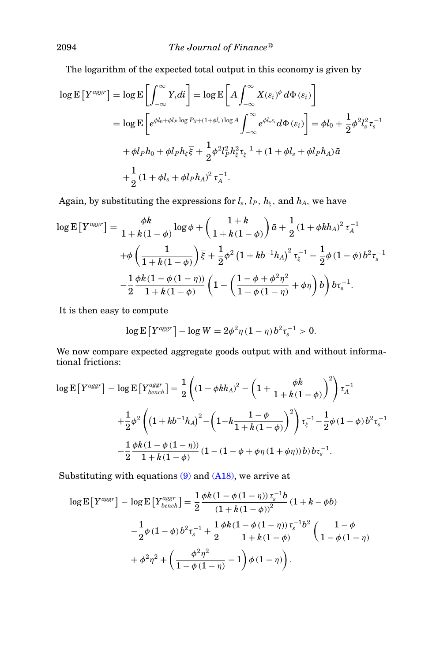The logarithm of the expected total output in this economy is given by

$$
\log \mathbf{E}\left[Y^{aggr}\right] = \log \mathbf{E}\left[\int_{-\infty}^{\infty} Y_i di\right] = \log \mathbf{E}\left[A \int_{-\infty}^{\infty} X(\varepsilon_i)^{\phi} d\Phi(\varepsilon_i)\right]
$$
  
\n
$$
= \log \mathbf{E}\left[e^{\phi l_0 + \phi l_P \log P_{X} + (1 + \phi l_s) \log A} \int_{-\infty}^{\infty} e^{\phi l_s \varepsilon_i} d\Phi(\varepsilon_i)\right] = \phi l_0 + \frac{1}{2} \phi^2 l_s^2 \tau_s^{-1}
$$
  
\n
$$
+ \phi l_P h_0 + \phi l_P h_{\xi} \overline{\xi} + \frac{1}{2} \phi^2 l_P^2 h_{\xi}^2 \tau_{\xi}^{-1} + (1 + \phi l_s + \phi l_P h_A) \bar{a}
$$
  
\n
$$
+ \frac{1}{2} (1 + \phi l_s + \phi l_P h_A)^2 \tau_A^{-1}.
$$

Again, by substituting the expressions for  $l_s$ ,  $l_P$ ,  $h_\xi$ , and  $h_A$ , we have

$$
\log \mathbf{E} \left[ Y^{aggr} \right] = \frac{\phi k}{1 + k(1 - \phi)} \log \phi + \left( \frac{1 + k}{1 + k(1 - \phi)} \right) \bar{a} + \frac{1}{2} (1 + \phi k h_A)^2 \tau_A^{-1}
$$

$$
+ \phi \left( \frac{1}{1 + k(1 - \phi)} \right) \bar{\xi} + \frac{1}{2} \phi^2 \left( 1 + k b^{-1} h_A \right)^2 \tau_{\xi}^{-1} - \frac{1}{2} \phi \left( 1 - \phi \right) b^2 \tau_s^{-1}
$$

$$
- \frac{1}{2} \frac{\phi k \left( 1 - \phi \left( 1 - \eta \right) \right)}{1 + k(1 - \phi)} \left( 1 - \left( \frac{1 - \phi + \phi^2 \eta^2}{1 - \phi \left( 1 - \eta \right)} + \phi \eta \right) b \right) b \tau_s^{-1}.
$$

It is then easy to compute

$$
\log \mathbb{E}\left[Y^{aggr}\right] - \log W = 2\phi^2 \eta (1-\eta) b^2 \tau_s^{-1} > 0.
$$

We now compare expected aggregate goods output with and without informational frictions:

$$
\log E\left[Y^{aggr}\right] - \log E\left[Y^{aggr}_{bench}\right] = \frac{1}{2} \left( (1 + \phi k h_A)^2 - \left(1 + \frac{\phi k}{1 + k(1 - \phi)}\right)^2 \right) \tau_A^{-1}
$$
  
+ 
$$
\frac{1}{2} \phi^2 \left( \left(1 + k b^{-1} h_A\right)^2 - \left(1 - k \frac{1 - \phi}{1 + k(1 - \phi)}\right)^2 \right) \tau_{\xi}^{-1} - \frac{1}{2} \phi \left(1 - \phi\right) b^2 \tau_s^{-1}
$$
  
- 
$$
\frac{1}{2} \frac{\phi k \left(1 - \phi \left(1 - \eta\right)\right)}{1 + k(1 - \phi)} \left(1 - \left(1 - \phi + \phi \eta \left(1 + \phi \eta\right)\right) b \right) b \tau_s^{-1}.
$$

Substituting with equations [\(9\)](#page-10-2) and [\(A18\),](#page-27-3) we arrive at

$$
\log \mathbb{E}\left[Y^{aggr}\right] - \log \mathbb{E}\left[Y^{aggr}_{bench}\right] = \frac{1}{2} \frac{\phi k (1 - \phi(1 - \eta)) \tau_s^{-1} b}{(1 + k(1 - \phi))^2} (1 + k - \phi b) \n- \frac{1}{2} \phi (1 - \phi) b^2 \tau_s^{-1} + \frac{1}{2} \frac{\phi k (1 - \phi(1 - \eta)) \tau_s^{-1} b^2}{1 + k(1 - \phi)} \left(\frac{1 - \phi}{1 - \phi(1 - \eta)}\right) \n+ \phi^2 \eta^2 + \left(\frac{\phi^2 \eta^2}{1 - \phi(1 - \eta)} - 1\right) \phi (1 - \eta) \right).
$$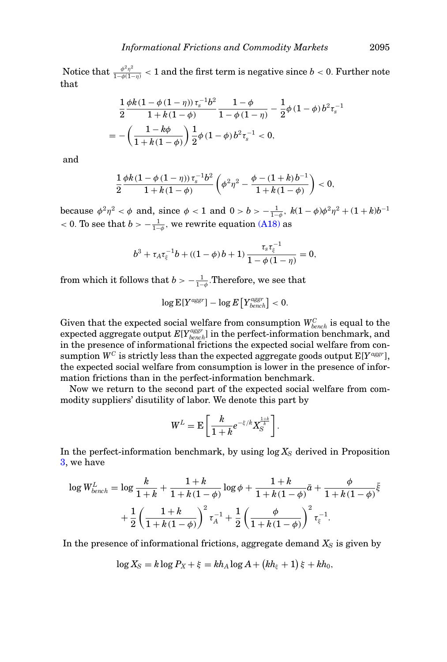Notice that  $\frac{\phi^2\eta^2}{1-\phi(1-\eta)} < 1$  and the first term is negative since  $b < 0$ . Further note that

$$
\begin{split} & \frac{1}{2} \frac{\phi k (1 - \phi \left(1 - \eta\right)) \tau_s^{-1} b^2}{1 + k (1 - \phi)} \frac{1 - \phi}{1 - \phi \left(1 - \eta\right)} - \frac{1}{2} \phi \left(1 - \phi\right) b^2 \tau_s^{-1} \\ & = -\left(\frac{1 - k\phi}{1 + k (1 - \phi)}\right) \frac{1}{2} \phi \left(1 - \phi\right) b^2 \tau_s^{-1} < 0, \end{split}
$$

and

$$
\frac{1}{2}\frac{\phi k(1-\phi(1-\eta))\,\tau_{s}^{-1}b^{2}}{1+k(1-\phi)}\left(\phi^{2}\eta^{2}-\frac{\phi-(1+k)\,b^{-1}}{1+k(1-\phi)}\right)<0,
$$

because  $\phi^2 \eta^2 < \phi$  and, since  $\phi < 1$  and  $0 > b > -\frac{1}{1-\phi}$ ,  $k(1-\phi)\phi^2 \eta^2 + (1+k)b^{-1}$ < 0. To see that  $b > -\frac{1}{1-\phi}$ , we rewrite equation [\(A18\)](#page-27-3) as

$$
b^3 + \tau_A \tau_{\xi}^{-1} b + ((1 - \phi) b + 1) \frac{\tau_s \tau_{\xi}^{-1}}{1 - \phi (1 - \eta)} = 0,
$$

from which it follows that  $b > -\frac{1}{1-\phi}$ . Therefore, we see that

$$
\log \mathrm{E}[Y^{aggr}]-\log E\left[Y^{aggr}_{bench}\right]<0.
$$

Given that the expected social welfare from consumption  $W_{\text{bench}}^C$  is equal to the expected aggregate output  $E[Y_{bench}^{aggr}]$  in the perfect-information benchmark, and in the presence of informational frictions the expected social welfare from consumption  $W^C$  is strictly less than the expected aggregate goods output  $E[Y^{aggr}]$ , the expected social welfare from consumption is lower in the presence of information frictions than in the perfect-information benchmark.

Now we return to the second part of the expected social welfare from commodity suppliers' disutility of labor. We denote this part by

$$
W^L = \mathrm{E}\left[\frac{k}{1+k}e^{-\xi/k}X_S^{\frac{1+k}{k}}\right].
$$

In the perfect-information benchmark, by using  $\log X_S$  derived in Proposition [3,](#page-11-0) we have

$$
\log W_{bench}^{L} = \log \frac{k}{1+k} + \frac{1+k}{1+k(1-\phi)} \log \phi + \frac{1+k}{1+k(1-\phi)} \bar{a} + \frac{\phi}{1+k(1-\phi)} \bar{\xi}
$$

$$
+ \frac{1}{2} \left( \frac{1+k}{1+k(1-\phi)} \right)^2 \tau_A^{-1} + \frac{1}{2} \left( \frac{\phi}{1+k(1-\phi)} \right)^2 \tau_{\xi}^{-1}.
$$

In the presence of informational frictions, aggregate demand  $X<sub>S</sub>$  is given by

$$
\log X_{\rm S} = k \log P_X + \xi = kh_A \log A + (kh_{\xi} + 1) \xi + kh_0,
$$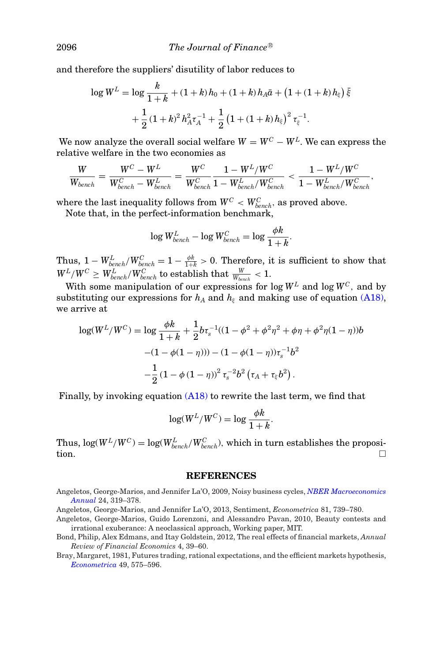and therefore the suppliers' disutility of labor reduces to

$$
\log W^{L} = \log \frac{k}{1+k} + (1+k)h_0 + (1+k)h_A\bar{a} + (1+(1+k)h_{\xi})\bar{\xi}
$$

$$
+ \frac{1}{2}(1+k)^2h_A^2\tau_A^{-1} + \frac{1}{2}(1+(1+k)h_{\xi})^2\tau_{\xi}^{-1}.
$$

We now analyze the overall social welfare  $W = W^C - W^L$ . We can express the relative welfare in the two economies as

$$
\frac{W}{W_{bench}} = \frac{W^C - W^L}{W^C_{bench} - W^L_{bench}} = \frac{W^C}{W^C_{bench}} \frac{1 - W^L/W^C}{1 - W^L_{bench}/W^C_{bench}} < \frac{1 - W^L/W^C}{1 - W^L_{bench}/W^C_{bench}},
$$

where the last inequality follows from  $W^C < W_{bench}^C$ , as proved above. Note that, in the perfect-information benchmark,

$$
\log W_{bench}^L - \log W_{bench}^C = \log \frac{\phi k}{1+k}.
$$

Thus,  $1 - W_{bench}^L/W_{bench}^C = 1 - \frac{\phi k}{1+k} > 0$ . Therefore, it is sufficient to show that  $W^L/W^C \geq W^L_{bench}/W^C_{bench}$  to establish that  $\frac{W}{W_{bench}} < 1.$ 

With some manipulation of our expressions for log  $W^L$  and log  $W^C$ , and by substituting our expressions for  $h_A$  and  $h_\xi$  and making use of equation [\(A18\),](#page-27-3) we arrive at

$$
\log(W^L/W^C) = \log \frac{\phi k}{1+k} + \frac{1}{2} b \tau_s^{-1} ((1 - \phi^2 + \phi^2 \eta^2 + \phi \eta + \phi^2 \eta (1 - \eta)))
$$

$$
- (1 - \phi(1 - \eta))) - (1 - \phi(1 - \eta)) \tau_s^{-1} b^2
$$

$$
- \frac{1}{2} (1 - \phi (1 - \eta))^2 \tau_s^{-2} b^2 (\tau_A + \tau_\xi b^2).
$$

Finally, by invoking equation [\(A18\)](#page-27-3) to rewrite the last term, we find that

$$
\log(W^L/W^C) = \log \frac{\phi k}{1+k}.
$$

 $\text{Thus, } \log(W^L/W^C) = \log(W^L_{bench}/W^C_{bench}) \text{, which in turn establishes the proposi$ tion.

#### <span id="page-33-4"></span><span id="page-33-3"></span><span id="page-33-2"></span><span id="page-33-1"></span><span id="page-33-0"></span>**REFERENCES**

<span id="page-33-5"></span>Angeletos, George-Marios, and Jennifer La'O, 2009, Noisy business cycles, *[NBER Macroeconomics](http://dx.doi.org/10.1086/648301) [Annual](http://dx.doi.org/10.1086/648301)* 24, 319–378.

Angeletos, George-Marios, and Jennifer La'O, 2013, Sentiment, *Econometrica* 81, 739–780.

- Angeletos, George-Marios, Guido Lorenzoni, and Alessandro Pavan, 2010, Beauty contests and irrational exuberance: A neoclassical approach, Working paper, MIT.
- Bond, Philip, Alex Edmans, and Itay Goldstein, 2012, The real effects of financial markets, *Annual Review of Financial Economics* 4, 39–60.
- Bray, Margaret, 1981, Futures trading, rational expectations, and the efficient markets hypothesis, *[Econometrica](http://dx.doi.org/10.2307/1911513)* 49, 575–596.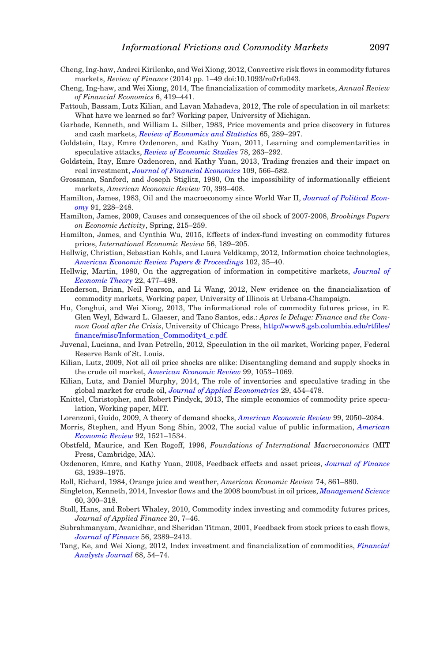- Cheng, Ing-haw, Andrei Kirilenko, and Wei Xiong, 2012, Convective risk flows in commodity futures markets, *Review of Finance* (2014) pp. 1–49 doi:10.1093/rof/rfu043.
- <span id="page-34-0"></span>Cheng, Ing-haw, and Wei Xiong, 2014, The financialization of commodity markets, *Annual Review of Financial Economics* 6, 419–441.
- <span id="page-34-24"></span>Fattouh, Bassam, Lutz Kilian, and Lavan Mahadeva, 2012, The role of speculation in oil markets: What have we learned so far? Working paper, University of Michigan.
- <span id="page-34-21"></span>Garbade, Kenneth, and William L. Silber, 1983, Price movements and price discovery in futures and cash markets, *[Review of Economics and Statistics](http://dx.doi.org/10.2307/1924495)* 65, 289–297.
- <span id="page-34-17"></span>Goldstein, Itay, Emre Ozdenoren, and Kathy Yuan, 2011, Learning and complementarities in speculative attacks, *[Review of Economic Studies](http://dx.doi.org/10.1093/restud/rdq017)* 78, 263–292.
- <span id="page-34-18"></span>Goldstein, Itay, Emre Ozdenoren, and Kathy Yuan, 2013, Trading frenzies and their impact on real investment, *[Journal of Financial Economics](http://dx.doi.org/10.1016/j.jfineco.2013.03.011)* 109, 566–582.
- <span id="page-34-1"></span>Grossman, Sanford, and Joseph Stiglitz, 1980, On the impossibility of informationally efficient markets, *American Economic Review* 70, 393–408.
- <span id="page-34-22"></span>Hamilton, James, 1983, Oil and the macroeconomy since World War II, *[Journal of Political Econ](http://dx.doi.org/10.1086/261140)[omy](http://dx.doi.org/10.1086/261140)* 91, 228–248.
- <span id="page-34-7"></span>Hamilton, James, 2009, Causes and consequences of the oil shock of 2007-2008, *Brookings Papers on Economic Activity*, Spring, 215–259.
- <span id="page-34-9"></span>Hamilton, James, and Cynthia Wu, 2015, Effects of index-fund investing on commodity futures prices, *International Economic Review* 56, 189–205.
- Hellwig, Christian, Sebastian Kohls, and Laura Veldkamp, 2012, Information choice technologies, *[American Economic Review Papers & Proceedings](http://dx.doi.org/10.1257/aer.102.3.35)* 102, 35–40.
- <span id="page-34-19"></span><span id="page-34-2"></span>Hellwig, Martin, 1980, On the aggregation of information in competitive markets, *[Journal of](http://dx.doi.org/10.1016/0022-0531(80)90056-3) [Economic Theory](http://dx.doi.org/10.1016/0022-0531(80)90056-3)* 22, 477–498.
- <span id="page-34-10"></span>Henderson, Brian, Neil Pearson, and Li Wang, 2012, New evidence on the financialization of commodity markets, Working paper, University of Illinois at Urbana-Champaign.
- Hu, Conghui, and Wei Xiong, 2013, The informational role of commodity futures prices, in E. Glen Weyl, Edward L. Glaeser, and Tano Santos, eds.: *Apres le Deluge: Finance and the Common Good after the Crisis*, University of Chicago Press, [http://www8.gsb.columbia.edu/rtfiles/](http://www8.gsb.columbia.edu/rtfiles/finance/misc/Information_Commodity4_c.pdf) [finance/misc/Information\\_Commodity4\\_c.pdf.](http://www8.gsb.columbia.edu/rtfiles/finance/misc/Information_Commodity4_c.pdf)
- <span id="page-34-4"></span>Juvenal, Luciana, and Ivan Petrella, 2012, Speculation in the oil market, Working paper, Federal Reserve Bank of St. Louis.
- <span id="page-34-23"></span>Kilian, Lutz, 2009, Not all oil price shocks are alike: Disentangling demand and supply shocks in the crude oil market, *[American Economic Review](http://dx.doi.org/10.1257/aer.99.3.1053)* 99, 1053–1069.
- <span id="page-34-6"></span>Kilian, Lutz, and Daniel Murphy, 2014, The role of inventories and speculative trading in the global market for crude oil, *[Journal of Applied Econometrics](http://dx.doi.org/10.1002/jae.2322)* 29, 454–478.
- <span id="page-34-5"></span>Knittel, Christopher, and Robert Pindyck, 2013, The simple economics of commodity price speculation, Working paper, MIT.
- <span id="page-34-13"></span>Lorenzoni, Guido, 2009, A theory of demand shocks, *[American Economic Review](http://dx.doi.org/10.1257/aer.99.5.2050)* 99, 2050–2084.
- <span id="page-34-15"></span>Morris, Stephen, and Hyun Song Shin, 2002, The social value of public information, *[American](http://dx.doi.org/10.1257/000282802762024610) [Economic Review](http://dx.doi.org/10.1257/000282802762024610)* 92, 1521–1534.
- <span id="page-34-3"></span>Obstfeld, Maurice, and Ken Rogoff, 1996, *Foundations of International Macroeconomics* (MIT Press, Cambridge, MA).
- <span id="page-34-16"></span>Ozdenoren, Emre, and Kathy Yuan, 2008, Feedback effects and asset prices, *[Journal of Finance](http://dx.doi.org/10.1111/j.1540-6261.2008.01378.x)* 63, 1939–1975.
- Roll, Richard, 1984, Orange juice and weather, *American Economic Review* 74, 861–880.
- <span id="page-34-20"></span><span id="page-34-12"></span>Singleton, Kenneth, 2014, Investor flows and the 2008 boom/bust in oil prices, *[Management Science](http://dx.doi.org/10.1287/mnsc.2013.1756)* 60, 300–318.
- <span id="page-34-8"></span>Stoll, Hans, and Robert Whaley, 2010, Commodity index investing and commodity futures prices, *Journal of Applied Finance* 20, 7–46.
- <span id="page-34-14"></span>Subrahmanyam, Avanidhar, and Sheridan Titman, 2001, Feedback from stock prices to cash flows, *[Journal of Finance](http://dx.doi.org/10.1111/0022-1082.00409)* 56, 2389–2413.
- <span id="page-34-11"></span>Tang, Ke, and Wei Xiong, 2012, Index investment and financialization of commodities, *[Financial](http://dx.doi.org/10.2469/faj.v68.n6.5) [Analysts Journal](http://dx.doi.org/10.2469/faj.v68.n6.5)* 68, 54–74.